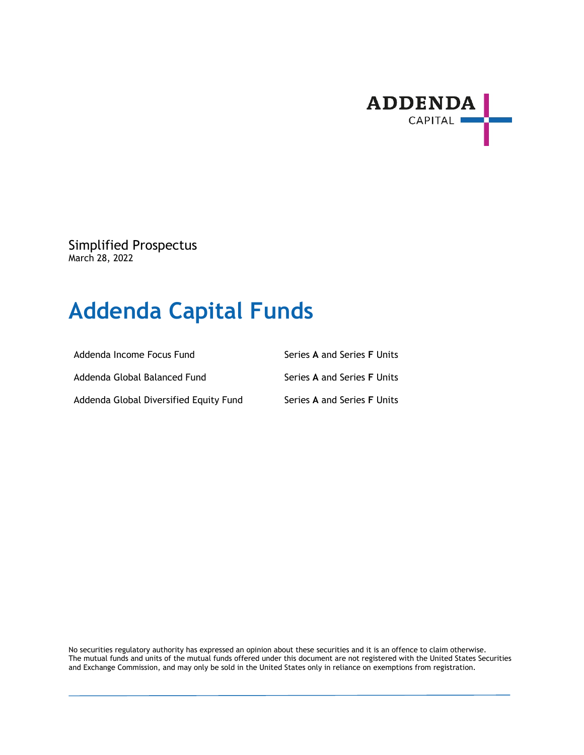

Simplified Prospectus March 28, 2022

# **Addenda Capital Funds**

| Addenda Income Focus Fund              | Series A and Series F Units |
|----------------------------------------|-----------------------------|
| Addenda Global Balanced Fund           | Series A and Series F Units |
| Addenda Global Diversified Equity Fund | Series A and Series F Units |

No securities regulatory authority has expressed an opinion about these securities and it is an offence to claim otherwise. The mutual funds and units of the mutual funds offered under this document are not registered with the United States Securities and Exchange Commission, and may only be sold in the United States only in reliance on exemptions from registration.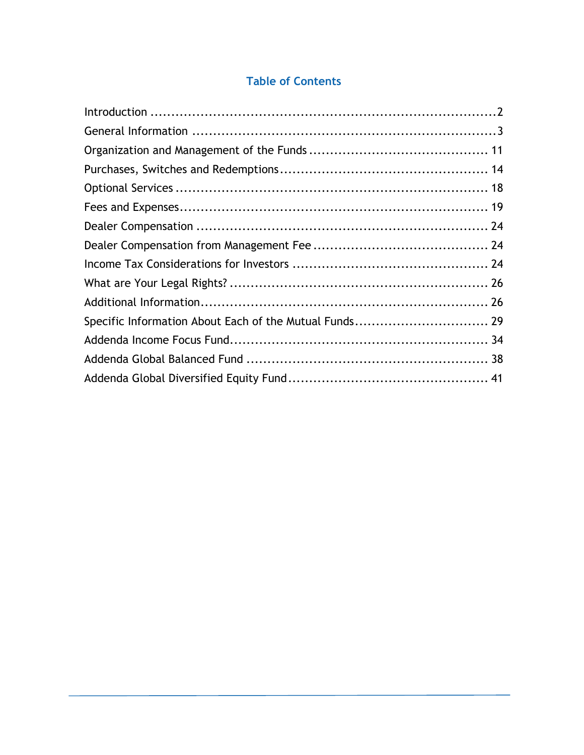# **Table of Contents**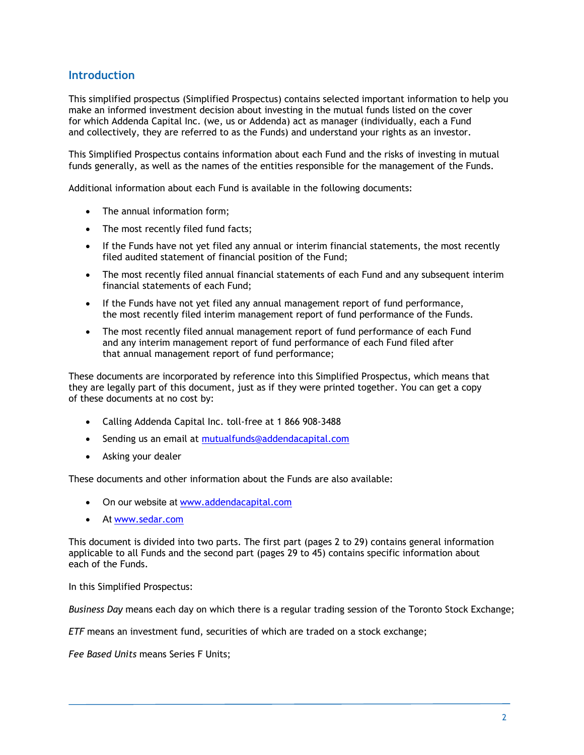### **Introduction**

This simplified prospectus (Simplified Prospectus) contains selected important information to help you make an informed investment decision about investing in the mutual funds listed on the cover for which Addenda Capital Inc. (we, us or Addenda) act as manager (individually, each a Fund and collectively, they are referred to as the Funds) and understand your rights as an investor.

This Simplified Prospectus contains information about each Fund and the risks of investing in mutual funds generally, as well as the names of the entities responsible for the management of the Funds.

Additional information about each Fund is available in the following documents:

- The annual information form:
- The most recently filed fund facts;
- If the Funds have not yet filed any annual or interim financial statements, the most recently filed audited statement of financial position of the Fund;
- The most recently filed annual financial statements of each Fund and any subsequent interim financial statements of each Fund;
- If the Funds have not yet filed any annual management report of fund performance, the most recently filed interim management report of fund performance of the Funds.
- The most recently filed annual management report of fund performance of each Fund and any interim management report of fund performance of each Fund filed after that annual management report of fund performance;

These documents are incorporated by reference into this Simplified Prospectus, which means that they are legally part of this document, just as if they were printed together. You can get a copy of these documents at no cost by:

- Calling Addenda Capital Inc. toll-free at 1 866 908-3488
- **Sending us an email at mutualfunds@addendacapital.com**
- Asking your dealer

These documents and other information about the Funds are also available:

- On our website at www.addendacapital.com
- At www.sedar.com

This document is divided into two parts. The first part (pages 2 to 29) contains general information applicable to all Funds and the second part (pages 29 to 45) contains specific information about each of the Funds.

In this Simplified Prospectus:

*Business Day* means each day on which there is a regular trading session of the Toronto Stock Exchange;

*ETF* means an investment fund, securities of which are traded on a stock exchange;

*Fee Based Units* means Series F Units;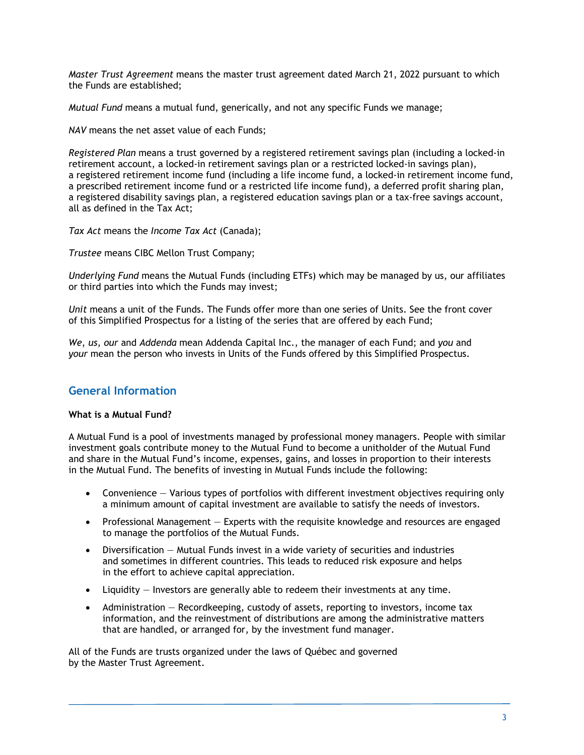*Master Trust Agreement* means the master trust agreement dated March 21, 2022 pursuant to which the Funds are established;

*Mutual Fund* means a mutual fund, generically, and not any specific Funds we manage;

*NAV* means the net asset value of each Funds;

*Registered Plan* means a trust governed by a registered retirement savings plan (including a locked-in retirement account, a locked-in retirement savings plan or a restricted locked-in savings plan), a registered retirement income fund (including a life income fund, a locked-in retirement income fund, a prescribed retirement income fund or a restricted life income fund), a deferred profit sharing plan, a registered disability savings plan, a registered education savings plan or a tax-free savings account, all as defined in the Tax Act;

*Tax Act* means the *Income Tax Act* (Canada);

*Trustee* means CIBC Mellon Trust Company;

*Underlying Fund* means the Mutual Funds (including ETFs) which may be managed by us, our affiliates or third parties into which the Funds may invest;

*Unit* means a unit of the Funds. The Funds offer more than one series of Units. See the front cover of this Simplified Prospectus for a listing of the series that are offered by each Fund;

*We*, *us*, *our* and *Addenda* mean Addenda Capital Inc., the manager of each Fund; and *you* and *your* mean the person who invests in Units of the Funds offered by this Simplified Prospectus.

### **General Information**

### **What is a Mutual Fund?**

A Mutual Fund is a pool of investments managed by professional money managers. People with similar investment goals contribute money to the Mutual Fund to become a unitholder of the Mutual Fund and share in the Mutual Fund's income, expenses, gains, and losses in proportion to their interests in the Mutual Fund. The benefits of investing in Mutual Funds include the following:

- Convenience Various types of portfolios with different investment objectives requiring only a minimum amount of capital investment are available to satisfy the needs of investors.
- Professional Management  $-$  Experts with the requisite knowledge and resources are engaged to manage the portfolios of the Mutual Funds.
- Diversification Mutual Funds invest in a wide variety of securities and industries and sometimes in different countries. This leads to reduced risk exposure and helps in the effort to achieve capital appreciation.
- Liquidity Investors are generally able to redeem their investments at any time.
- Administration Recordkeeping, custody of assets, reporting to investors, income tax information, and the reinvestment of distributions are among the administrative matters that are handled, or arranged for, by the investment fund manager.

All of the Funds are trusts organized under the laws of Québec and governed by the Master Trust Agreement.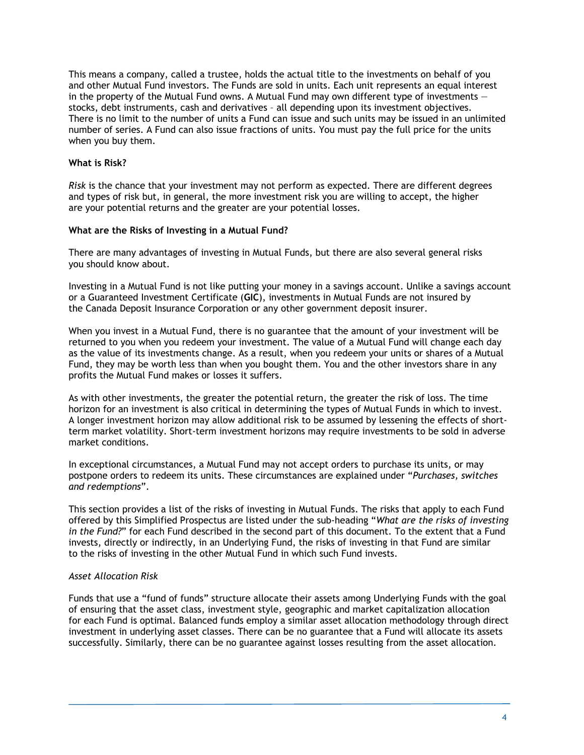This means a company, called a trustee, holds the actual title to the investments on behalf of you and other Mutual Fund investors. The Funds are sold in units. Each unit represents an equal interest in the property of the Mutual Fund owns. A Mutual Fund may own different type of investments stocks, debt instruments, cash and derivatives – all depending upon its investment objectives. There is no limit to the number of units a Fund can issue and such units may be issued in an unlimited number of series. A Fund can also issue fractions of units. You must pay the full price for the units when you buy them.

### **What is Risk?**

*Risk* is the chance that your investment may not perform as expected. There are different degrees and types of risk but, in general, the more investment risk you are willing to accept, the higher are your potential returns and the greater are your potential losses.

### **What are the Risks of Investing in a Mutual Fund?**

There are many advantages of investing in Mutual Funds, but there are also several general risks you should know about.

Investing in a Mutual Fund is not like putting your money in a savings account. Unlike a savings account or a Guaranteed Investment Certificate (**GIC**), investments in Mutual Funds are not insured by the Canada Deposit Insurance Corporation or any other government deposit insurer.

When you invest in a Mutual Fund, there is no guarantee that the amount of your investment will be returned to you when you redeem your investment. The value of a Mutual Fund will change each day as the value of its investments change. As a result, when you redeem your units or shares of a Mutual Fund, they may be worth less than when you bought them. You and the other investors share in any profits the Mutual Fund makes or losses it suffers.

As with other investments, the greater the potential return, the greater the risk of loss. The time horizon for an investment is also critical in determining the types of Mutual Funds in which to invest. A longer investment horizon may allow additional risk to be assumed by lessening the effects of shortterm market volatility. Short-term investment horizons may require investments to be sold in adverse market conditions.

In exceptional circumstances, a Mutual Fund may not accept orders to purchase its units, or may postpone orders to redeem its units. These circumstances are explained under "*Purchases, switches and redemptions*".

This section provides a list of the risks of investing in Mutual Funds. The risks that apply to each Fund offered by this Simplified Prospectus are listed under the sub-heading "*What are the risks of investing in the Fund?*" for each Fund described in the second part of this document. To the extent that a Fund invests, directly or indirectly, in an Underlying Fund, the risks of investing in that Fund are similar to the risks of investing in the other Mutual Fund in which such Fund invests.

### *Asset Allocation Risk*

Funds that use a "fund of funds" structure allocate their assets among Underlying Funds with the goal of ensuring that the asset class, investment style, geographic and market capitalization allocation for each Fund is optimal. Balanced funds employ a similar asset allocation methodology through direct investment in underlying asset classes. There can be no guarantee that a Fund will allocate its assets successfully. Similarly, there can be no guarantee against losses resulting from the asset allocation.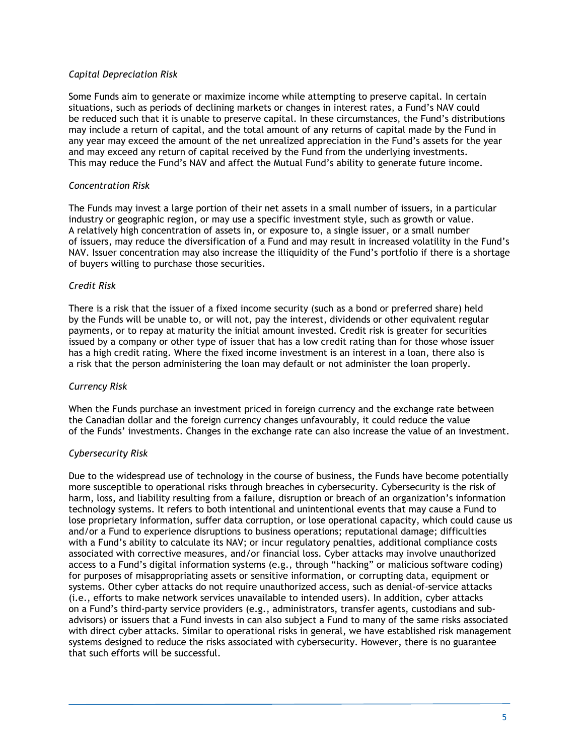### *Capital Depreciation Risk*

Some Funds aim to generate or maximize income while attempting to preserve capital. In certain situations, such as periods of declining markets or changes in interest rates, a Fund's NAV could be reduced such that it is unable to preserve capital. In these circumstances, the Fund's distributions may include a return of capital, and the total amount of any returns of capital made by the Fund in any year may exceed the amount of the net unrealized appreciation in the Fund's assets for the year and may exceed any return of capital received by the Fund from the underlying investments. This may reduce the Fund's NAV and affect the Mutual Fund's ability to generate future income.

### *Concentration Risk*

The Funds may invest a large portion of their net assets in a small number of issuers, in a particular industry or geographic region, or may use a specific investment style, such as growth or value. A relatively high concentration of assets in, or exposure to, a single issuer, or a small number of issuers, may reduce the diversification of a Fund and may result in increased volatility in the Fund's NAV. Issuer concentration may also increase the illiquidity of the Fund's portfolio if there is a shortage of buyers willing to purchase those securities.

### *Credit Risk*

There is a risk that the issuer of a fixed income security (such as a bond or preferred share) held by the Funds will be unable to, or will not, pay the interest, dividends or other equivalent regular payments, or to repay at maturity the initial amount invested. Credit risk is greater for securities issued by a company or other type of issuer that has a low credit rating than for those whose issuer has a high credit rating. Where the fixed income investment is an interest in a loan, there also is a risk that the person administering the loan may default or not administer the loan properly.

### *Currency Risk*

When the Funds purchase an investment priced in foreign currency and the exchange rate between the Canadian dollar and the foreign currency changes unfavourably, it could reduce the value of the Funds' investments. Changes in the exchange rate can also increase the value of an investment.

### *Cybersecurity Risk*

Due to the widespread use of technology in the course of business, the Funds have become potentially more susceptible to operational risks through breaches in cybersecurity. Cybersecurity is the risk of harm, loss, and liability resulting from a failure, disruption or breach of an organization's information technology systems. It refers to both intentional and unintentional events that may cause a Fund to lose proprietary information, suffer data corruption, or lose operational capacity, which could cause us and/or a Fund to experience disruptions to business operations; reputational damage; difficulties with a Fund's ability to calculate its NAV; or incur regulatory penalties, additional compliance costs associated with corrective measures, and/or financial loss. Cyber attacks may involve unauthorized access to a Fund's digital information systems (e.g., through "hacking" or malicious software coding) for purposes of misappropriating assets or sensitive information, or corrupting data, equipment or systems. Other cyber attacks do not require unauthorized access, such as denial-of-service attacks (i.e., efforts to make network services unavailable to intended users). In addition, cyber attacks on a Fund's third-party service providers (e.g., administrators, transfer agents, custodians and subadvisors) or issuers that a Fund invests in can also subject a Fund to many of the same risks associated with direct cyber attacks. Similar to operational risks in general, we have established risk management systems designed to reduce the risks associated with cybersecurity. However, there is no guarantee that such efforts will be successful.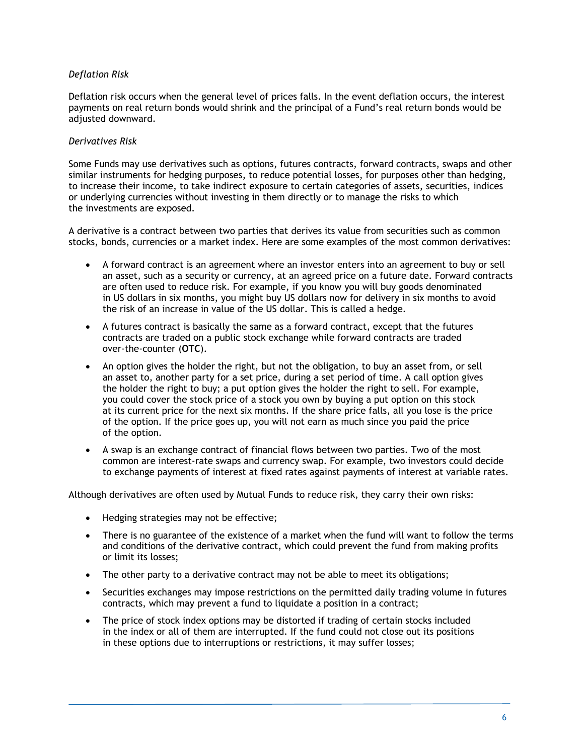### *Deflation Risk*

Deflation risk occurs when the general level of prices falls. In the event deflation occurs, the interest payments on real return bonds would shrink and the principal of a Fund's real return bonds would be adjusted downward.

### *Derivatives Risk*

Some Funds may use derivatives such as options, futures contracts, forward contracts, swaps and other similar instruments for hedging purposes, to reduce potential losses, for purposes other than hedging, to increase their income, to take indirect exposure to certain categories of assets, securities, indices or underlying currencies without investing in them directly or to manage the risks to which the investments are exposed.

A derivative is a contract between two parties that derives its value from securities such as common stocks, bonds, currencies or a market index. Here are some examples of the most common derivatives:

- A forward contract is an agreement where an investor enters into an agreement to buy or sell an asset, such as a security or currency, at an agreed price on a future date. Forward contracts are often used to reduce risk. For example, if you know you will buy goods denominated in US dollars in six months, you might buy US dollars now for delivery in six months to avoid the risk of an increase in value of the US dollar. This is called a hedge.
- A futures contract is basically the same as a forward contract, except that the futures contracts are traded on a public stock exchange while forward contracts are traded over-the-counter (**OTC**).
- An option gives the holder the right, but not the obligation, to buy an asset from, or sell an asset to, another party for a set price, during a set period of time. A call option gives the holder the right to buy; a put option gives the holder the right to sell. For example, you could cover the stock price of a stock you own by buying a put option on this stock at its current price for the next six months. If the share price falls, all you lose is the price of the option. If the price goes up, you will not earn as much since you paid the price of the option.
- A swap is an exchange contract of financial flows between two parties. Two of the most common are interest-rate swaps and currency swap. For example, two investors could decide to exchange payments of interest at fixed rates against payments of interest at variable rates.

Although derivatives are often used by Mutual Funds to reduce risk, they carry their own risks:

- Hedging strategies may not be effective;
- There is no guarantee of the existence of a market when the fund will want to follow the terms and conditions of the derivative contract, which could prevent the fund from making profits or limit its losses;
- The other party to a derivative contract may not be able to meet its obligations;
- Securities exchanges may impose restrictions on the permitted daily trading volume in futures contracts, which may prevent a fund to liquidate a position in a contract;
- The price of stock index options may be distorted if trading of certain stocks included in the index or all of them are interrupted. If the fund could not close out its positions in these options due to interruptions or restrictions, it may suffer losses;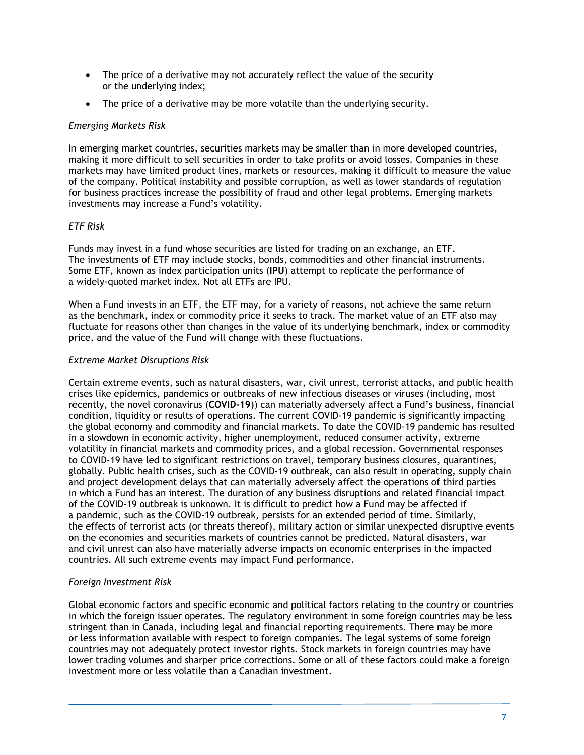- The price of a derivative may not accurately reflect the value of the security or the underlying index;
- The price of a derivative may be more volatile than the underlying security.

### *Emerging Markets Risk*

In emerging market countries, securities markets may be smaller than in more developed countries, making it more difficult to sell securities in order to take profits or avoid losses. Companies in these markets may have limited product lines, markets or resources, making it difficult to measure the value of the company. Political instability and possible corruption, as well as lower standards of regulation for business practices increase the possibility of fraud and other legal problems. Emerging markets investments may increase a Fund's volatility.

### *ETF Risk*

Funds may invest in a fund whose securities are listed for trading on an exchange, an ETF. The investments of ETF may include stocks, bonds, commodities and other financial instruments. Some ETF, known as index participation units (**IPU**) attempt to replicate the performance of a widely-quoted market index. Not all ETFs are IPU.

When a Fund invests in an ETF, the ETF may, for a variety of reasons, not achieve the same return as the benchmark, index or commodity price it seeks to track. The market value of an ETF also may fluctuate for reasons other than changes in the value of its underlying benchmark, index or commodity price, and the value of the Fund will change with these fluctuations.

### *Extreme Market Disruptions Risk*

Certain extreme events, such as natural disasters, war, civil unrest, terrorist attacks, and public health crises like epidemics, pandemics or outbreaks of new infectious diseases or viruses (including, most recently, the novel coronavirus (**COVID-19**)) can materially adversely affect a Fund's business, financial condition, liquidity or results of operations. The current COVID-19 pandemic is significantly impacting the global economy and commodity and financial markets. To date the COVID-19 pandemic has resulted in a slowdown in economic activity, higher unemployment, reduced consumer activity, extreme volatility in financial markets and commodity prices, and a global recession. Governmental responses to COVID-19 have led to significant restrictions on travel, temporary business closures, quarantines, globally. Public health crises, such as the COVID-19 outbreak, can also result in operating, supply chain and project development delays that can materially adversely affect the operations of third parties in which a Fund has an interest. The duration of any business disruptions and related financial impact of the COVID-19 outbreak is unknown. It is difficult to predict how a Fund may be affected if a pandemic, such as the COVID-19 outbreak, persists for an extended period of time. Similarly, the effects of terrorist acts (or threats thereof), military action or similar unexpected disruptive events on the economies and securities markets of countries cannot be predicted. Natural disasters, war and civil unrest can also have materially adverse impacts on economic enterprises in the impacted countries. All such extreme events may impact Fund performance.

### *Foreign Investment Risk*

Global economic factors and specific economic and political factors relating to the country or countries in which the foreign issuer operates. The regulatory environment in some foreign countries may be less stringent than in Canada, including legal and financial reporting requirements. There may be more or less information available with respect to foreign companies. The legal systems of some foreign countries may not adequately protect investor rights. Stock markets in foreign countries may have lower trading volumes and sharper price corrections. Some or all of these factors could make a foreign investment more or less volatile than a Canadian investment.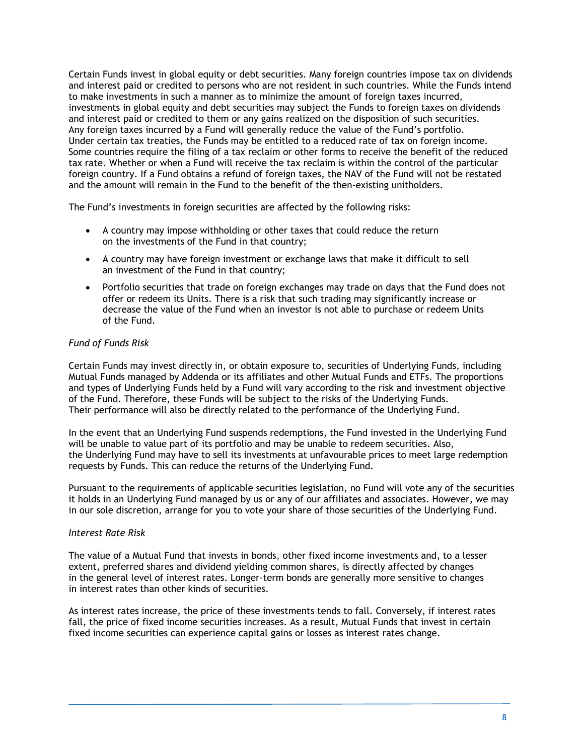Certain Funds invest in global equity or debt securities. Many foreign countries impose tax on dividends and interest paid or credited to persons who are not resident in such countries. While the Funds intend to make investments in such a manner as to minimize the amount of foreign taxes incurred, investments in global equity and debt securities may subject the Funds to foreign taxes on dividends and interest paid or credited to them or any gains realized on the disposition of such securities. Any foreign taxes incurred by a Fund will generally reduce the value of the Fund's portfolio. Under certain tax treaties, the Funds may be entitled to a reduced rate of tax on foreign income. Some countries require the filing of a tax reclaim or other forms to receive the benefit of the reduced tax rate. Whether or when a Fund will receive the tax reclaim is within the control of the particular foreign country. If a Fund obtains a refund of foreign taxes, the NAV of the Fund will not be restated and the amount will remain in the Fund to the benefit of the then-existing unitholders.

The Fund's investments in foreign securities are affected by the following risks:

- A country may impose withholding or other taxes that could reduce the return on the investments of the Fund in that country;
- A country may have foreign investment or exchange laws that make it difficult to sell an investment of the Fund in that country;
- Portfolio securities that trade on foreign exchanges may trade on days that the Fund does not offer or redeem its Units. There is a risk that such trading may significantly increase or decrease the value of the Fund when an investor is not able to purchase or redeem Units of the Fund.

### *Fund of Funds Risk*

Certain Funds may invest directly in, or obtain exposure to, securities of Underlying Funds, including Mutual Funds managed by Addenda or its affiliates and other Mutual Funds and ETFs. The proportions and types of Underlying Funds held by a Fund will vary according to the risk and investment objective of the Fund. Therefore, these Funds will be subject to the risks of the Underlying Funds. Their performance will also be directly related to the performance of the Underlying Fund.

In the event that an Underlying Fund suspends redemptions, the Fund invested in the Underlying Fund will be unable to value part of its portfolio and may be unable to redeem securities. Also, the Underlying Fund may have to sell its investments at unfavourable prices to meet large redemption requests by Funds. This can reduce the returns of the Underlying Fund.

Pursuant to the requirements of applicable securities legislation, no Fund will vote any of the securities it holds in an Underlying Fund managed by us or any of our affiliates and associates. However, we may in our sole discretion, arrange for you to vote your share of those securities of the Underlying Fund.

### *Interest Rate Risk*

The value of a Mutual Fund that invests in bonds, other fixed income investments and, to a lesser extent, preferred shares and dividend yielding common shares, is directly affected by changes in the general level of interest rates. Longer-term bonds are generally more sensitive to changes in interest rates than other kinds of securities.

As interest rates increase, the price of these investments tends to fall. Conversely, if interest rates fall, the price of fixed income securities increases. As a result, Mutual Funds that invest in certain fixed income securities can experience capital gains or losses as interest rates change.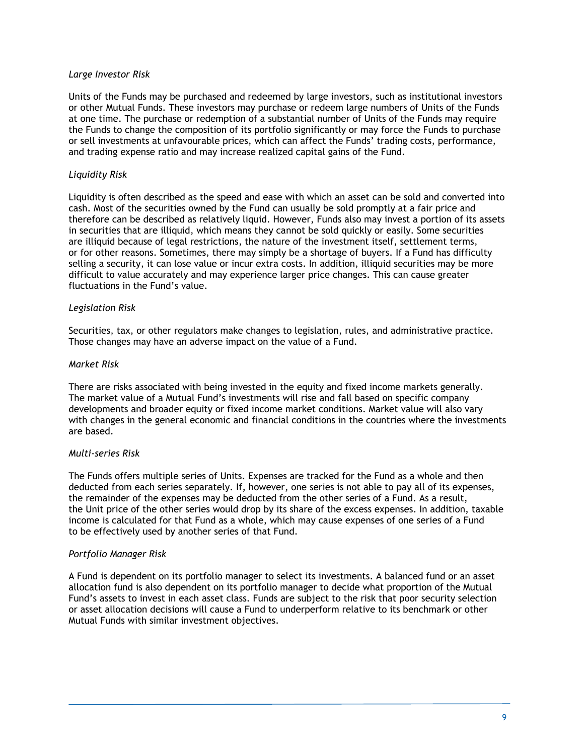### *Large Investor Risk*

Units of the Funds may be purchased and redeemed by large investors, such as institutional investors or other Mutual Funds. These investors may purchase or redeem large numbers of Units of the Funds at one time. The purchase or redemption of a substantial number of Units of the Funds may require the Funds to change the composition of its portfolio significantly or may force the Funds to purchase or sell investments at unfavourable prices, which can affect the Funds' trading costs, performance, and trading expense ratio and may increase realized capital gains of the Fund.

### *Liquidity Risk*

Liquidity is often described as the speed and ease with which an asset can be sold and converted into cash. Most of the securities owned by the Fund can usually be sold promptly at a fair price and therefore can be described as relatively liquid. However, Funds also may invest a portion of its assets in securities that are illiquid, which means they cannot be sold quickly or easily. Some securities are illiquid because of legal restrictions, the nature of the investment itself, settlement terms, or for other reasons. Sometimes, there may simply be a shortage of buyers. If a Fund has difficulty selling a security, it can lose value or incur extra costs. In addition, illiquid securities may be more difficult to value accurately and may experience larger price changes. This can cause greater fluctuations in the Fund's value.

### *Legislation Risk*

Securities, tax, or other regulators make changes to legislation, rules, and administrative practice. Those changes may have an adverse impact on the value of a Fund.

### *Market Risk*

There are risks associated with being invested in the equity and fixed income markets generally. The market value of a Mutual Fund's investments will rise and fall based on specific company developments and broader equity or fixed income market conditions. Market value will also vary with changes in the general economic and financial conditions in the countries where the investments are based.

### *Multi-series Risk*

The Funds offers multiple series of Units. Expenses are tracked for the Fund as a whole and then deducted from each series separately. If, however, one series is not able to pay all of its expenses, the remainder of the expenses may be deducted from the other series of a Fund. As a result, the Unit price of the other series would drop by its share of the excess expenses. In addition, taxable income is calculated for that Fund as a whole, which may cause expenses of one series of a Fund to be effectively used by another series of that Fund.

### *Portfolio Manager Risk*

A Fund is dependent on its portfolio manager to select its investments. A balanced fund or an asset allocation fund is also dependent on its portfolio manager to decide what proportion of the Mutual Fund's assets to invest in each asset class. Funds are subject to the risk that poor security selection or asset allocation decisions will cause a Fund to underperform relative to its benchmark or other Mutual Funds with similar investment objectives.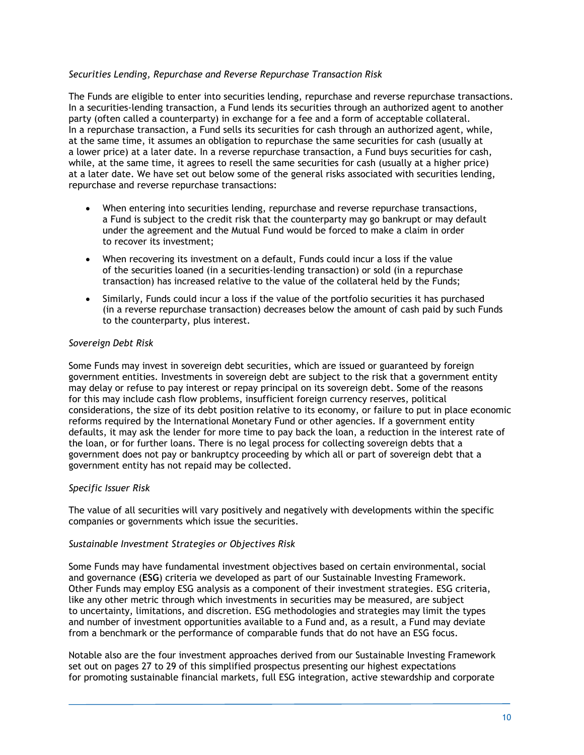### *Securities Lending, Repurchase and Reverse Repurchase Transaction Risk*

The Funds are eligible to enter into securities lending, repurchase and reverse repurchase transactions. In a securities-lending transaction, a Fund lends its securities through an authorized agent to another party (often called a counterparty) in exchange for a fee and a form of acceptable collateral. In a repurchase transaction, a Fund sells its securities for cash through an authorized agent, while, at the same time, it assumes an obligation to repurchase the same securities for cash (usually at a lower price) at a later date. In a reverse repurchase transaction, a Fund buys securities for cash, while, at the same time, it agrees to resell the same securities for cash (usually at a higher price) at a later date. We have set out below some of the general risks associated with securities lending, repurchase and reverse repurchase transactions:

- When entering into securities lending, repurchase and reverse repurchase transactions, a Fund is subject to the credit risk that the counterparty may go bankrupt or may default under the agreement and the Mutual Fund would be forced to make a claim in order to recover its investment;
- When recovering its investment on a default, Funds could incur a loss if the value of the securities loaned (in a securities-lending transaction) or sold (in a repurchase transaction) has increased relative to the value of the collateral held by the Funds;
- Similarly, Funds could incur a loss if the value of the portfolio securities it has purchased (in a reverse repurchase transaction) decreases below the amount of cash paid by such Funds to the counterparty, plus interest.

### *Sovereign Debt Risk*

Some Funds may invest in sovereign debt securities, which are issued or guaranteed by foreign government entities. Investments in sovereign debt are subject to the risk that a government entity may delay or refuse to pay interest or repay principal on its sovereign debt. Some of the reasons for this may include cash flow problems, insufficient foreign currency reserves, political considerations, the size of its debt position relative to its economy, or failure to put in place economic reforms required by the International Monetary Fund or other agencies. If a government entity defaults, it may ask the lender for more time to pay back the loan, a reduction in the interest rate of the loan, or for further loans. There is no legal process for collecting sovereign debts that a government does not pay or bankruptcy proceeding by which all or part of sovereign debt that a government entity has not repaid may be collected.

### *Specific Issuer Risk*

The value of all securities will vary positively and negatively with developments within the specific companies or governments which issue the securities.

### *Sustainable Investment Strategies or Objectives Risk*

Some Funds may have fundamental investment objectives based on certain environmental, social and governance (**ESG**) criteria we developed as part of our Sustainable Investing Framework. Other Funds may employ ESG analysis as a component of their investment strategies. ESG criteria, like any other metric through which investments in securities may be measured, are subject to uncertainty, limitations, and discretion. ESG methodologies and strategies may limit the types and number of investment opportunities available to a Fund and, as a result, a Fund may deviate from a benchmark or the performance of comparable funds that do not have an ESG focus.

Notable also are the four investment approaches derived from our Sustainable Investing Framework set out on pages 27 to 29 of this simplified prospectus presenting our highest expectations for promoting sustainable financial markets, full ESG integration, active stewardship and corporate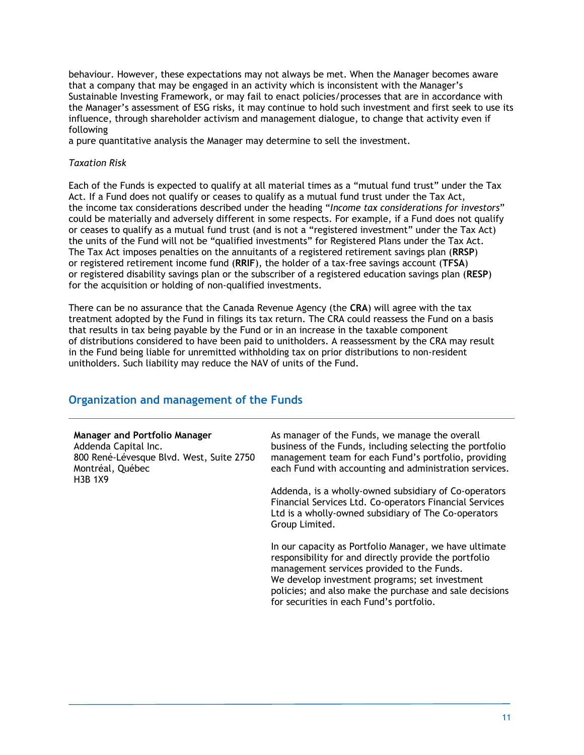behaviour. However, these expectations may not always be met. When the Manager becomes aware that a company that may be engaged in an activity which is inconsistent with the Manager's Sustainable Investing Framework, or may fail to enact policies/processes that are in accordance with the Manager's assessment of ESG risks, it may continue to hold such investment and first seek to use its influence, through shareholder activism and management dialogue, to change that activity even if following

a pure quantitative analysis the Manager may determine to sell the investment.

### *Taxation Risk*

Each of the Funds is expected to qualify at all material times as a "mutual fund trust" under the Tax Act. If a Fund does not qualify or ceases to qualify as a mutual fund trust under the Tax Act, the income tax considerations described under the heading "*Income tax considerations for investors*" could be materially and adversely different in some respects. For example, if a Fund does not qualify or ceases to qualify as a mutual fund trust (and is not a "registered investment" under the Tax Act) the units of the Fund will not be "qualified investments" for Registered Plans under the Tax Act. The Tax Act imposes penalties on the annuitants of a registered retirement savings plan (**RRSP**) or registered retirement income fund (**RRIF**), the holder of a tax-free savings account (**TFSA**) or registered disability savings plan or the subscriber of a registered education savings plan (**RESP**) for the acquisition or holding of non-qualified investments.

There can be no assurance that the Canada Revenue Agency (the **CRA**) will agree with the tax treatment adopted by the Fund in filings its tax return. The CRA could reassess the Fund on a basis that results in tax being payable by the Fund or in an increase in the taxable component of distributions considered to have been paid to unitholders. A reassessment by the CRA may result in the Fund being liable for unremitted withholding tax on prior distributions to non-resident unitholders. Such liability may reduce the NAV of units of the Fund.

### **Organization and management of the Funds**

#### **Manager and Portfolio Manager**

Addenda Capital Inc. 800 René-Lévesque Blvd. West, Suite 2750 Montréal, Québec H3B 1X9

As manager of the Funds, we manage the overall business of the Funds, including selecting the portfolio management team for each Fund's portfolio, providing each Fund with accounting and administration services.

Addenda, is a wholly-owned subsidiary of Co-operators Financial Services Ltd. Co-operators Financial Services Ltd is a wholly-owned subsidiary of The Co-operators Group Limited.

In our capacity as Portfolio Manager, we have ultimate responsibility for and directly provide the portfolio management services provided to the Funds. We develop investment programs; set investment policies; and also make the purchase and sale decisions for securities in each Fund's portfolio.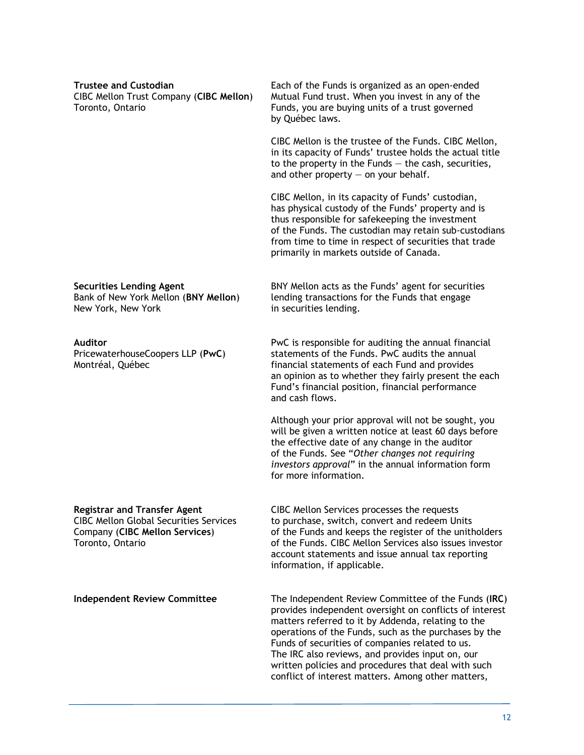| <b>Trustee and Custodian</b><br>CIBC Mellon Trust Company (CIBC Mellon)<br>Toronto, Ontario                                                | Each of the Funds is organized as an open-ended<br>Mutual Fund trust. When you invest in any of the<br>Funds, you are buying units of a trust governed<br>by Québec laws.                                                                                                                                                                                                                                                                         |
|--------------------------------------------------------------------------------------------------------------------------------------------|---------------------------------------------------------------------------------------------------------------------------------------------------------------------------------------------------------------------------------------------------------------------------------------------------------------------------------------------------------------------------------------------------------------------------------------------------|
|                                                                                                                                            | CIBC Mellon is the trustee of the Funds. CIBC Mellon,<br>in its capacity of Funds' trustee holds the actual title<br>to the property in the Funds $-$ the cash, securities,<br>and other property $-$ on your behalf.                                                                                                                                                                                                                             |
|                                                                                                                                            | CIBC Mellon, in its capacity of Funds' custodian,<br>has physical custody of the Funds' property and is<br>thus responsible for safekeeping the investment<br>of the Funds. The custodian may retain sub-custodians<br>from time to time in respect of securities that trade<br>primarily in markets outside of Canada.                                                                                                                           |
| <b>Securities Lending Agent</b><br>Bank of New York Mellon (BNY Mellon)<br>New York, New York                                              | BNY Mellon acts as the Funds' agent for securities<br>lending transactions for the Funds that engage<br>in securities lending.                                                                                                                                                                                                                                                                                                                    |
| Auditor<br>PricewaterhouseCoopers LLP (PwC)<br>Montréal, Québec                                                                            | PwC is responsible for auditing the annual financial<br>statements of the Funds. PwC audits the annual<br>financial statements of each Fund and provides<br>an opinion as to whether they fairly present the each<br>Fund's financial position, financial performance<br>and cash flows.                                                                                                                                                          |
|                                                                                                                                            | Although your prior approval will not be sought, you<br>will be given a written notice at least 60 days before<br>the effective date of any change in the auditor<br>of the Funds. See "Other changes not requiring<br>investors approval" in the annual information form<br>for more information.                                                                                                                                                |
| <b>Registrar and Transfer Agent</b><br><b>CIBC Mellon Global Securities Services</b><br>Company (CIBC Mellon Services)<br>Toronto, Ontario | CIBC Mellon Services processes the requests<br>to purchase, switch, convert and redeem Units<br>of the Funds and keeps the register of the unitholders<br>of the Funds. CIBC Mellon Services also issues investor<br>account statements and issue annual tax reporting<br>information, if applicable.                                                                                                                                             |
| <b>Independent Review Committee</b>                                                                                                        | The Independent Review Committee of the Funds (IRC)<br>provides independent oversight on conflicts of interest<br>matters referred to it by Addenda, relating to the<br>operations of the Funds, such as the purchases by the<br>Funds of securities of companies related to us.<br>The IRC also reviews, and provides input on, our<br>written policies and procedures that deal with such<br>conflict of interest matters. Among other matters, |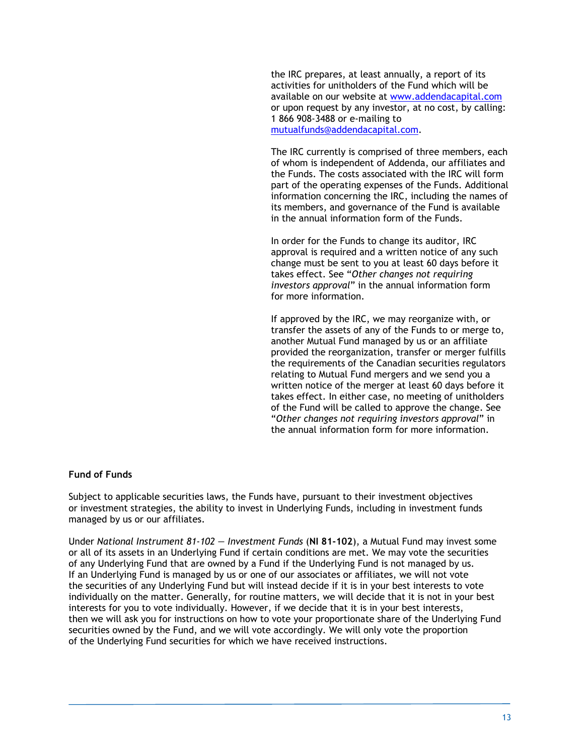the IRC prepares, at least annually, a report of its activities for unitholders of the Fund which will be available on our website at www.addendacapital.com or upon request by any investor, at no cost, by calling: 1 866 908-3488 or e-mailing to mutualfunds@addendacapital.com.

The IRC currently is comprised of three members, each of whom is independent of Addenda, our affiliates and the Funds. The costs associated with the IRC will form part of the operating expenses of the Funds. Additional information concerning the IRC, including the names of its members, and governance of the Fund is available in the annual information form of the Funds.

In order for the Funds to change its auditor, IRC approval is required and a written notice of any such change must be sent to you at least 60 days before it takes effect. See "*Other changes not requiring investors approval*" in the annual information form for more information.

If approved by the IRC, we may reorganize with, or transfer the assets of any of the Funds to or merge to, another Mutual Fund managed by us or an affiliate provided the reorganization, transfer or merger fulfills the requirements of the Canadian securities regulators relating to Mutual Fund mergers and we send you a written notice of the merger at least 60 days before it takes effect. In either case, no meeting of unitholders of the Fund will be called to approve the change. See "*Other changes not requiring investors approval*" in the annual information form for more information.

### **Fund of Funds**

Subject to applicable securities laws, the Funds have, pursuant to their investment objectives or investment strategies, the ability to invest in Underlying Funds, including in investment funds managed by us or our affiliates.

Under *National Instrument 81-102 — Investment Funds* (**NI 81-102**), a Mutual Fund may invest some or all of its assets in an Underlying Fund if certain conditions are met. We may vote the securities of any Underlying Fund that are owned by a Fund if the Underlying Fund is not managed by us. If an Underlying Fund is managed by us or one of our associates or affiliates, we will not vote the securities of any Underlying Fund but will instead decide if it is in your best interests to vote individually on the matter. Generally, for routine matters, we will decide that it is not in your best interests for you to vote individually. However, if we decide that it is in your best interests, then we will ask you for instructions on how to vote your proportionate share of the Underlying Fund securities owned by the Fund, and we will vote accordingly. We will only vote the proportion of the Underlying Fund securities for which we have received instructions.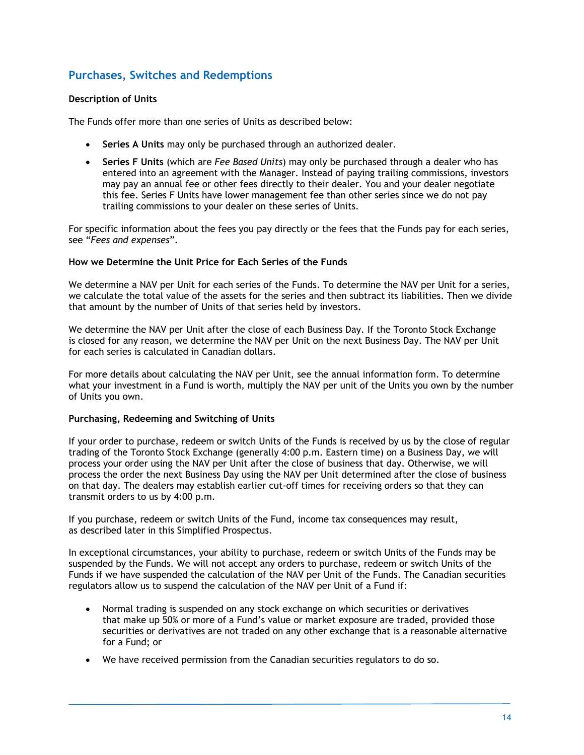### **Purchases, Switches and Redemptions**

### **Description of Units**

The Funds offer more than one series of Units as described below:

- **Series A Units** may only be purchased through an authorized dealer.
- **Series F Units** (which are *Fee Based Units*) may only be purchased through a dealer who has entered into an agreement with the Manager. Instead of paying trailing commissions, investors may pay an annual fee or other fees directly to their dealer. You and your dealer negotiate this fee. Series F Units have lower management fee than other series since we do not pay trailing commissions to your dealer on these series of Units.

For specific information about the fees you pay directly or the fees that the Funds pay for each series, see "*Fees and expenses*".

### **How we Determine the Unit Price for Each Series of the Funds**

We determine a NAV per Unit for each series of the Funds. To determine the NAV per Unit for a series, we calculate the total value of the assets for the series and then subtract its liabilities. Then we divide that amount by the number of Units of that series held by investors.

We determine the NAV per Unit after the close of each Business Day. If the Toronto Stock Exchange is closed for any reason, we determine the NAV per Unit on the next Business Day. The NAV per Unit for each series is calculated in Canadian dollars.

For more details about calculating the NAV per Unit, see the annual information form. To determine what your investment in a Fund is worth, multiply the NAV per unit of the Units you own by the number of Units you own.

### **Purchasing, Redeeming and Switching of Units**

If your order to purchase, redeem or switch Units of the Funds is received by us by the close of regular trading of the Toronto Stock Exchange (generally 4:00 p.m. Eastern time) on a Business Day, we will process your order using the NAV per Unit after the close of business that day. Otherwise, we will process the order the next Business Day using the NAV per Unit determined after the close of business on that day. The dealers may establish earlier cut-off times for receiving orders so that they can transmit orders to us by 4:00 p.m.

If you purchase, redeem or switch Units of the Fund, income tax consequences may result, as described later in this Simplified Prospectus.

In exceptional circumstances, your ability to purchase, redeem or switch Units of the Funds may be suspended by the Funds. We will not accept any orders to purchase, redeem or switch Units of the Funds if we have suspended the calculation of the NAV per Unit of the Funds. The Canadian securities regulators allow us to suspend the calculation of the NAV per Unit of a Fund if:

- Normal trading is suspended on any stock exchange on which securities or derivatives that make up 50% or more of a Fund's value or market exposure are traded, provided those securities or derivatives are not traded on any other exchange that is a reasonable alternative for a Fund; or
- We have received permission from the Canadian securities regulators to do so.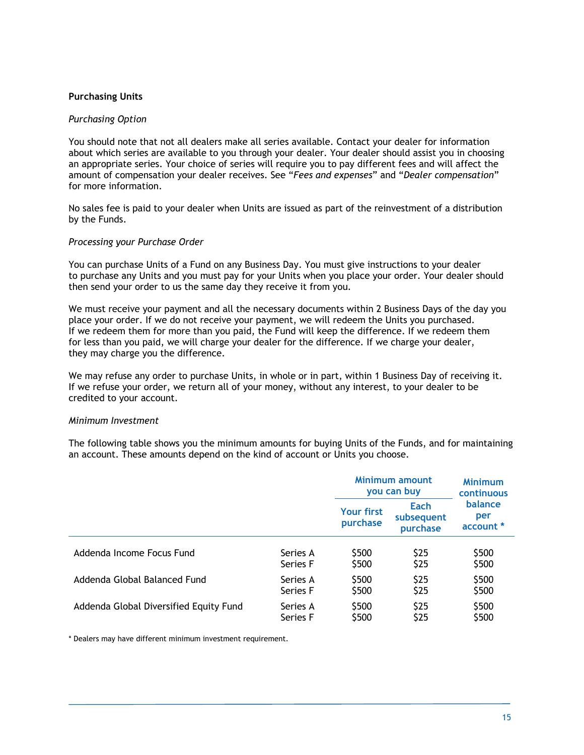### **Purchasing Units**

### *Purchasing Option*

You should note that not all dealers make all series available. Contact your dealer for information about which series are available to you through your dealer. Your dealer should assist you in choosing an appropriate series. Your choice of series will require you to pay different fees and will affect the amount of compensation your dealer receives. See "*Fees and expenses*" and "*Dealer compensation*" for more information.

No sales fee is paid to your dealer when Units are issued as part of the reinvestment of a distribution by the Funds.

### *Processing your Purchase Order*

You can purchase Units of a Fund on any Business Day. You must give instructions to your dealer to purchase any Units and you must pay for your Units when you place your order. Your dealer should then send your order to us the same day they receive it from you.

We must receive your payment and all the necessary documents within 2 Business Days of the day you place your order. If we do not receive your payment, we will redeem the Units you purchased. If we redeem them for more than you paid, the Fund will keep the difference. If we redeem them for less than you paid, we will charge your dealer for the difference. If we charge your dealer, they may charge you the difference.

We may refuse any order to purchase Units, in whole or in part, within 1 Business Day of receiving it. If we refuse your order, we return all of your money, without any interest, to your dealer to be credited to your account.

### *Minimum Investment*

The following table shows you the minimum amounts for buying Units of the Funds, and for maintaining an account. These amounts depend on the kind of account or Units you choose.

|                                        |          | Minimum amount<br>you can buy |                                | <b>Minimum</b><br>continuous |
|----------------------------------------|----------|-------------------------------|--------------------------------|------------------------------|
|                                        |          | <b>Your first</b><br>purchase | Each<br>subsequent<br>purchase | balance<br>per<br>account *  |
| Addenda Income Focus Fund              | Series A | \$500                         | \$25                           | \$500                        |
|                                        | Series F | \$500                         | \$25                           | \$500                        |
| Addenda Global Balanced Fund           | Series A | \$500                         | \$25                           | \$500                        |
|                                        | Series F | \$500                         | \$25                           | \$500                        |
| Addenda Global Diversified Equity Fund | Series A | \$500                         | \$25                           | \$500                        |
|                                        | Series F | \$500                         | \$25                           | \$500                        |

\* Dealers may have different minimum investment requirement.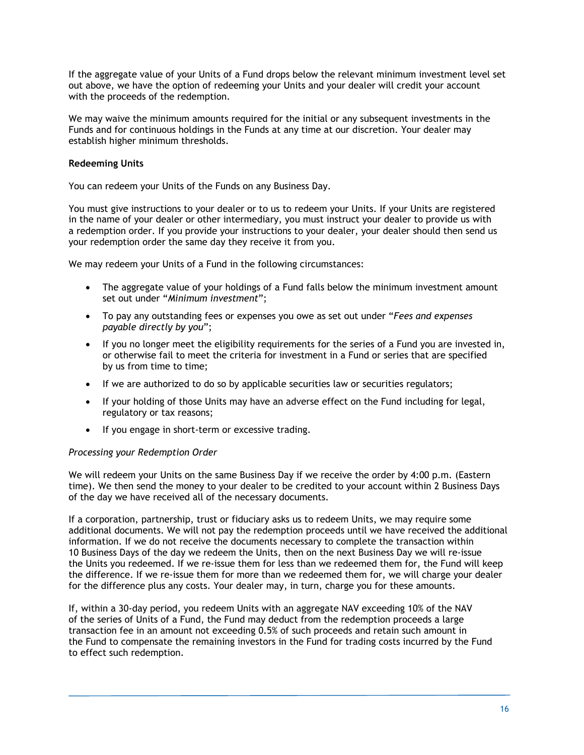If the aggregate value of your Units of a Fund drops below the relevant minimum investment level set out above, we have the option of redeeming your Units and your dealer will credit your account with the proceeds of the redemption.

We may waive the minimum amounts required for the initial or any subsequent investments in the Funds and for continuous holdings in the Funds at any time at our discretion. Your dealer may establish higher minimum thresholds.

### **Redeeming Units**

You can redeem your Units of the Funds on any Business Day.

You must give instructions to your dealer or to us to redeem your Units. If your Units are registered in the name of your dealer or other intermediary, you must instruct your dealer to provide us with a redemption order. If you provide your instructions to your dealer, your dealer should then send us your redemption order the same day they receive it from you.

We may redeem your Units of a Fund in the following circumstances:

- The aggregate value of your holdings of a Fund falls below the minimum investment amount set out under "*Minimum investment*";
- To pay any outstanding fees or expenses you owe as set out under "*Fees and expenses payable directly by you*";
- If you no longer meet the eligibility requirements for the series of a Fund you are invested in, or otherwise fail to meet the criteria for investment in a Fund or series that are specified by us from time to time;
- If we are authorized to do so by applicable securities law or securities regulators;
- If your holding of those Units may have an adverse effect on the Fund including for legal, regulatory or tax reasons;
- If you engage in short-term or excessive trading.

### *Processing your Redemption Order*

We will redeem your Units on the same Business Day if we receive the order by 4:00 p.m. (Eastern time). We then send the money to your dealer to be credited to your account within 2 Business Days of the day we have received all of the necessary documents.

If a corporation, partnership, trust or fiduciary asks us to redeem Units, we may require some additional documents. We will not pay the redemption proceeds until we have received the additional information. If we do not receive the documents necessary to complete the transaction within 10 Business Days of the day we redeem the Units, then on the next Business Day we will re-issue the Units you redeemed. If we re-issue them for less than we redeemed them for, the Fund will keep the difference. If we re-issue them for more than we redeemed them for, we will charge your dealer for the difference plus any costs. Your dealer may, in turn, charge you for these amounts.

If, within a 30-day period, you redeem Units with an aggregate NAV exceeding 10% of the NAV of the series of Units of a Fund, the Fund may deduct from the redemption proceeds a large transaction fee in an amount not exceeding 0.5% of such proceeds and retain such amount in the Fund to compensate the remaining investors in the Fund for trading costs incurred by the Fund to effect such redemption.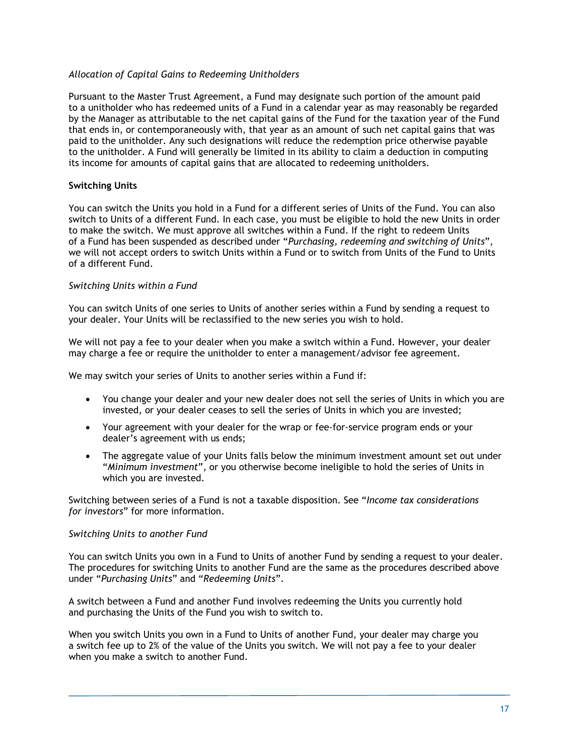### *Allocation of Capital Gains to Redeeming Unitholders*

Pursuant to the Master Trust Agreement, a Fund may designate such portion of the amount paid to a unitholder who has redeemed units of a Fund in a calendar year as may reasonably be regarded by the Manager as attributable to the net capital gains of the Fund for the taxation year of the Fund that ends in, or contemporaneously with, that year as an amount of such net capital gains that was paid to the unitholder. Any such designations will reduce the redemption price otherwise payable to the unitholder. A Fund will generally be limited in its ability to claim a deduction in computing its income for amounts of capital gains that are allocated to redeeming unitholders.

### **Switching Units**

You can switch the Units you hold in a Fund for a different series of Units of the Fund. You can also switch to Units of a different Fund. In each case, you must be eligible to hold the new Units in order to make the switch. We must approve all switches within a Fund. If the right to redeem Units of a Fund has been suspended as described under "*Purchasing, redeeming and switching of Units*", we will not accept orders to switch Units within a Fund or to switch from Units of the Fund to Units of a different Fund.

### *Switching Units within a Fund*

You can switch Units of one series to Units of another series within a Fund by sending a request to your dealer. Your Units will be reclassified to the new series you wish to hold.

We will not pay a fee to your dealer when you make a switch within a Fund. However, your dealer may charge a fee or require the unitholder to enter a management/advisor fee agreement.

We may switch your series of Units to another series within a Fund if:

- You change your dealer and your new dealer does not sell the series of Units in which you are invested, or your dealer ceases to sell the series of Units in which you are invested;
- Your agreement with your dealer for the wrap or fee-for-service program ends or your dealer's agreement with us ends;
- The aggregate value of your Units falls below the minimum investment amount set out under "*Minimum investment*", or you otherwise become ineligible to hold the series of Units in which you are invested.

Switching between series of a Fund is not a taxable disposition. See "*Income tax considerations for investors*" for more information.

### *Switching Units to another Fund*

You can switch Units you own in a Fund to Units of another Fund by sending a request to your dealer. The procedures for switching Units to another Fund are the same as the procedures described above under "*Purchasing Units*" and "*Redeeming Units*".

A switch between a Fund and another Fund involves redeeming the Units you currently hold and purchasing the Units of the Fund you wish to switch to.

When you switch Units you own in a Fund to Units of another Fund, your dealer may charge you a switch fee up to 2% of the value of the Units you switch. We will not pay a fee to your dealer when you make a switch to another Fund.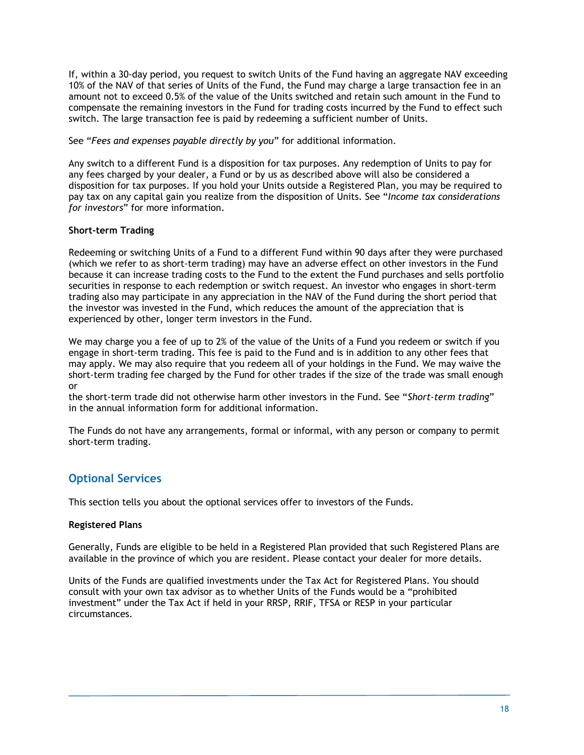If, within a 30-day period, you request to switch Units of the Fund having an aggregate NAV exceeding 10% of the NAV of that series of Units of the Fund, the Fund may charge a large transaction fee in an amount not to exceed 0.5% of the value of the Units switched and retain such amount in the Fund to compensate the remaining investors in the Fund for trading costs incurred by the Fund to effect such switch. The large transaction fee is paid by redeeming a sufficient number of Units.

See "*Fees and expenses payable directly by you*" for additional information.

Any switch to a different Fund is a disposition for tax purposes. Any redemption of Units to pay for any fees charged by your dealer, a Fund or by us as described above will also be considered a disposition for tax purposes. If you hold your Units outside a Registered Plan, you may be required to pay tax on any capital gain you realize from the disposition of Units. See "*Income tax considerations for investors*" for more information.

### **Short-term Trading**

Redeeming or switching Units of a Fund to a different Fund within 90 days after they were purchased (which we refer to as short-term trading) may have an adverse effect on other investors in the Fund because it can increase trading costs to the Fund to the extent the Fund purchases and sells portfolio securities in response to each redemption or switch request. An investor who engages in short-term trading also may participate in any appreciation in the NAV of the Fund during the short period that the investor was invested in the Fund, which reduces the amount of the appreciation that is experienced by other, longer term investors in the Fund.

We may charge you a fee of up to 2% of the value of the Units of a Fund you redeem or switch if you engage in short-term trading. This fee is paid to the Fund and is in addition to any other fees that may apply. We may also require that you redeem all of your holdings in the Fund. We may waive the short-term trading fee charged by the Fund for other trades if the size of the trade was small enough or

the short-term trade did not otherwise harm other investors in the Fund. See "*Short-term trading*" in the annual information form for additional information.

The Funds do not have any arrangements, formal or informal, with any person or company to permit short-term trading.

### **Optional Services**

This section tells you about the optional services offer to investors of the Funds.

### **Registered Plans**

Generally, Funds are eligible to be held in a Registered Plan provided that such Registered Plans are available in the province of which you are resident. Please contact your dealer for more details.

Units of the Funds are qualified investments under the Tax Act for Registered Plans. You should consult with your own tax advisor as to whether Units of the Funds would be a "prohibited investment" under the Tax Act if held in your RRSP, RRIF, TFSA or RESP in your particular circumstances.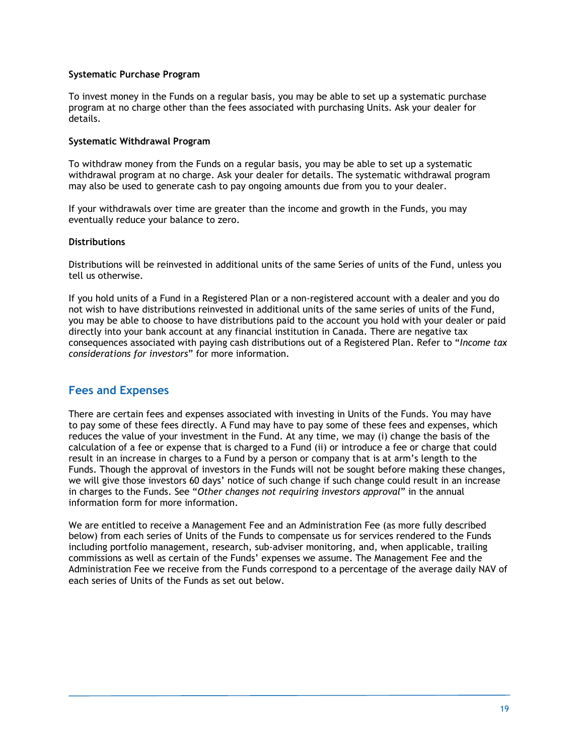### **Systematic Purchase Program**

To invest money in the Funds on a regular basis, you may be able to set up a systematic purchase program at no charge other than the fees associated with purchasing Units. Ask your dealer for details.

### **Systematic Withdrawal Program**

To withdraw money from the Funds on a regular basis, you may be able to set up a systematic withdrawal program at no charge. Ask your dealer for details. The systematic withdrawal program may also be used to generate cash to pay ongoing amounts due from you to your dealer.

If your withdrawals over time are greater than the income and growth in the Funds, you may eventually reduce your balance to zero.

### **Distributions**

Distributions will be reinvested in additional units of the same Series of units of the Fund, unless you tell us otherwise.

If you hold units of a Fund in a Registered Plan or a non-registered account with a dealer and you do not wish to have distributions reinvested in additional units of the same series of units of the Fund, you may be able to choose to have distributions paid to the account you hold with your dealer or paid directly into your bank account at any financial institution in Canada. There are negative tax consequences associated with paying cash distributions out of a Registered Plan. Refer to "*Income tax considerations for investors*" for more information.

### **Fees and Expenses**

There are certain fees and expenses associated with investing in Units of the Funds. You may have to pay some of these fees directly. A Fund may have to pay some of these fees and expenses, which reduces the value of your investment in the Fund. At any time, we may (i) change the basis of the calculation of a fee or expense that is charged to a Fund (ii) or introduce a fee or charge that could result in an increase in charges to a Fund by a person or company that is at arm's length to the Funds. Though the approval of investors in the Funds will not be sought before making these changes, we will give those investors 60 days' notice of such change if such change could result in an increase in charges to the Funds. See "*Other changes not requiring investors approval*" in the annual information form for more information.

We are entitled to receive a Management Fee and an Administration Fee (as more fully described below) from each series of Units of the Funds to compensate us for services rendered to the Funds including portfolio management, research, sub-adviser monitoring, and, when applicable, trailing commissions as well as certain of the Funds' expenses we assume. The Management Fee and the Administration Fee we receive from the Funds correspond to a percentage of the average daily NAV of each series of Units of the Funds as set out below.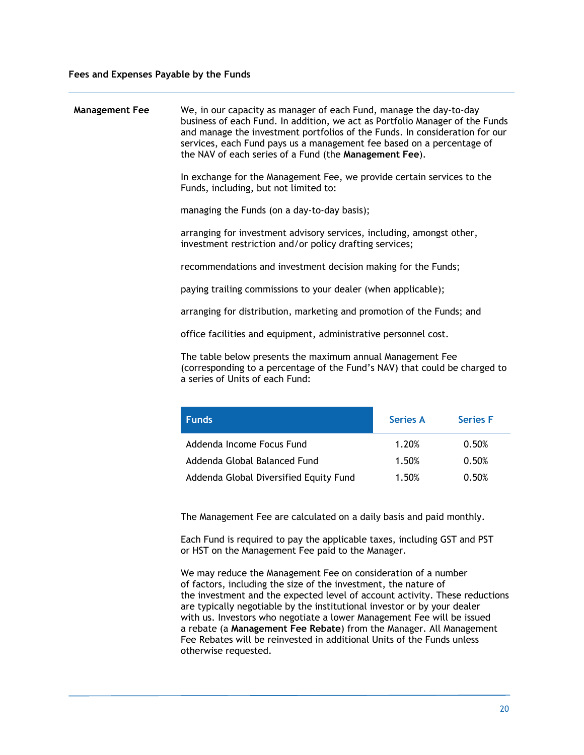| <b>Management Fee</b> | We, in our capacity as manager of each Fund, manage the day-to-day<br>business of each Fund. In addition, we act as Portfolio Manager of the Funds<br>and manage the investment portfolios of the Funds. In consideration for our<br>services, each Fund pays us a management fee based on a percentage of<br>the NAV of each series of a Fund (the Management Fee). |
|-----------------------|----------------------------------------------------------------------------------------------------------------------------------------------------------------------------------------------------------------------------------------------------------------------------------------------------------------------------------------------------------------------|
|                       | In exchange for the Management Fee, we provide certain services to the<br>Funds, including, but not limited to:                                                                                                                                                                                                                                                      |
|                       | managing the Funds (on a day-to-day basis);                                                                                                                                                                                                                                                                                                                          |
|                       | arranging for investment advisory services, including, amongst other,<br>investment restriction and/or policy drafting services;                                                                                                                                                                                                                                     |
|                       | recommendations and investment decision making for the Funds;                                                                                                                                                                                                                                                                                                        |
|                       | paying trailing commissions to your dealer (when applicable);                                                                                                                                                                                                                                                                                                        |
|                       | arranging for distribution, marketing and promotion of the Funds; and                                                                                                                                                                                                                                                                                                |
|                       | office facilities and equipment, administrative personnel cost.                                                                                                                                                                                                                                                                                                      |
|                       | The table below presents the maximum annual Management Fee<br>(corresponding to a percentage of the Fund's NAV) that could be charged to<br>a series of Units of each Fund:                                                                                                                                                                                          |
|                       |                                                                                                                                                                                                                                                                                                                                                                      |

| <b>Funds</b>                           | <b>Series A</b> | <b>Series F</b> |
|----------------------------------------|-----------------|-----------------|
| Addenda Income Focus Fund              | 1.20%           | 0.50%           |
| Addenda Global Balanced Fund           | 1.50%           | 0.50%           |
| Addenda Global Diversified Equity Fund | 1.50%           | 0.50%           |

The Management Fee are calculated on a daily basis and paid monthly.

Each Fund is required to pay the applicable taxes, including GST and PST or HST on the Management Fee paid to the Manager.

We may reduce the Management Fee on consideration of a number of factors, including the size of the investment, the nature of the investment and the expected level of account activity. These reductions are typically negotiable by the institutional investor or by your dealer with us. Investors who negotiate a lower Management Fee will be issued a rebate (a **Management Fee Rebate**) from the Manager. All Management Fee Rebates will be reinvested in additional Units of the Funds unless otherwise requested.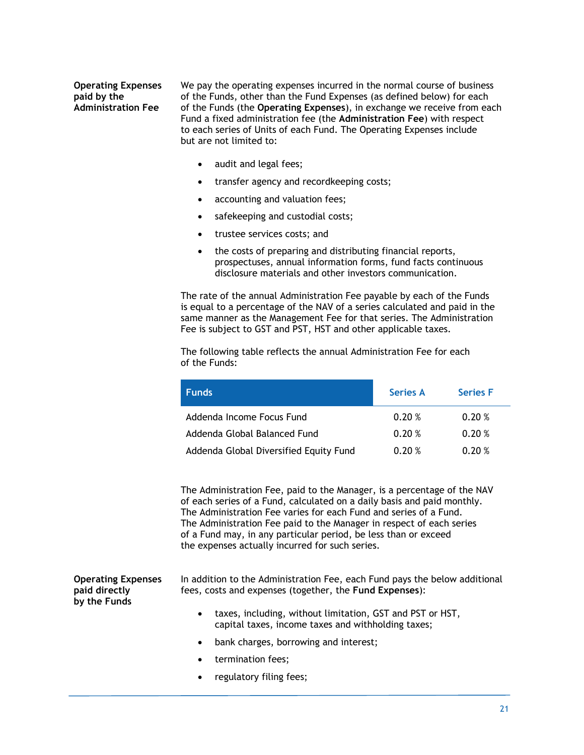### **Operating Expenses paid by the Administration Fee**

We pay the operating expenses incurred in the normal course of business of the Funds, other than the Fund Expenses (as defined below) for each of the Funds (the **Operating Expenses**), in exchange we receive from each Fund a fixed administration fee (the **Administration Fee**) with respect to each series of Units of each Fund. The Operating Expenses include but are not limited to:

- audit and legal fees;
- transfer agency and recordkeeping costs;
- accounting and valuation fees;
- safekeeping and custodial costs;
- trustee services costs; and
- the costs of preparing and distributing financial reports, prospectuses, annual information forms, fund facts continuous disclosure materials and other investors communication.

The rate of the annual Administration Fee payable by each of the Funds is equal to a percentage of the NAV of a series calculated and paid in the same manner as the Management Fee for that series. The Administration Fee is subject to GST and PST, HST and other applicable taxes.

The following table reflects the annual Administration Fee for each of the Funds:

| <b>Funds</b>                           | <b>Series A</b> | <b>Series F</b> |
|----------------------------------------|-----------------|-----------------|
| Addenda Income Focus Fund              | 0.20%           | 0.20%           |
| Addenda Global Balanced Fund           | 0.20%           | 0.20%           |
| Addenda Global Diversified Equity Fund | 0.20%           | 0.20%           |

The Administration Fee, paid to the Manager, is a percentage of the NAV of each series of a Fund, calculated on a daily basis and paid monthly. The Administration Fee varies for each Fund and series of a Fund. The Administration Fee paid to the Manager in respect of each series of a Fund may, in any particular period, be less than or exceed the expenses actually incurred for such series.

**Operating Expenses paid directly by the Funds** 

In addition to the Administration Fee, each Fund pays the below additional fees, costs and expenses (together, the **Fund Expenses**):

- taxes, including, without limitation, GST and PST or HST, capital taxes, income taxes and withholding taxes;
- bank charges, borrowing and interest;
- termination fees;
- regulatory filing fees;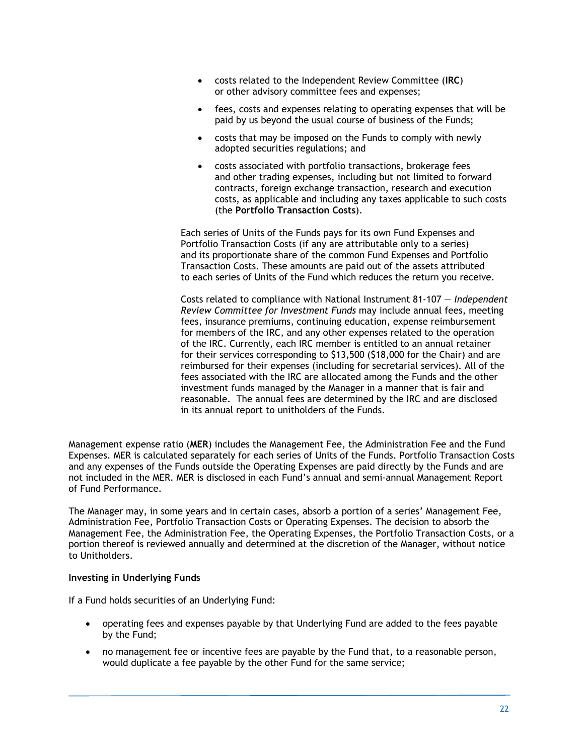- costs related to the Independent Review Committee (**IRC**) or other advisory committee fees and expenses;
- fees, costs and expenses relating to operating expenses that will be paid by us beyond the usual course of business of the Funds;
- costs that may be imposed on the Funds to comply with newly adopted securities regulations; and
- costs associated with portfolio transactions, brokerage fees and other trading expenses, including but not limited to forward contracts, foreign exchange transaction, research and execution costs, as applicable and including any taxes applicable to such costs (the **Portfolio Transaction Costs**).

Each series of Units of the Funds pays for its own Fund Expenses and Portfolio Transaction Costs (if any are attributable only to a series) and its proportionate share of the common Fund Expenses and Portfolio Transaction Costs. These amounts are paid out of the assets attributed to each series of Units of the Fund which reduces the return you receive.

Costs related to compliance with National Instrument 81-107 — *Independent Review Committee for Investment Funds* may include annual fees, meeting fees, insurance premiums, continuing education, expense reimbursement for members of the IRC, and any other expenses related to the operation of the IRC. Currently, each IRC member is entitled to an annual retainer for their services corresponding to \$13,500 (\$18,000 for the Chair) and are reimbursed for their expenses (including for secretarial services). All of the fees associated with the IRC are allocated among the Funds and the other investment funds managed by the Manager in a manner that is fair and reasonable. The annual fees are determined by the IRC and are disclosed in its annual report to unitholders of the Funds.

Management expense ratio (**MER**) includes the Management Fee, the Administration Fee and the Fund Expenses. MER is calculated separately for each series of Units of the Funds. Portfolio Transaction Costs and any expenses of the Funds outside the Operating Expenses are paid directly by the Funds and are not included in the MER. MER is disclosed in each Fund's annual and semi-annual Management Report of Fund Performance.

The Manager may, in some years and in certain cases, absorb a portion of a series' Management Fee, Administration Fee, Portfolio Transaction Costs or Operating Expenses. The decision to absorb the Management Fee, the Administration Fee, the Operating Expenses, the Portfolio Transaction Costs, or a portion thereof is reviewed annually and determined at the discretion of the Manager, without notice to Unitholders.

### **Investing in Underlying Funds**

If a Fund holds securities of an Underlying Fund:

- operating fees and expenses payable by that Underlying Fund are added to the fees payable by the Fund;
- no management fee or incentive fees are payable by the Fund that, to a reasonable person, would duplicate a fee payable by the other Fund for the same service;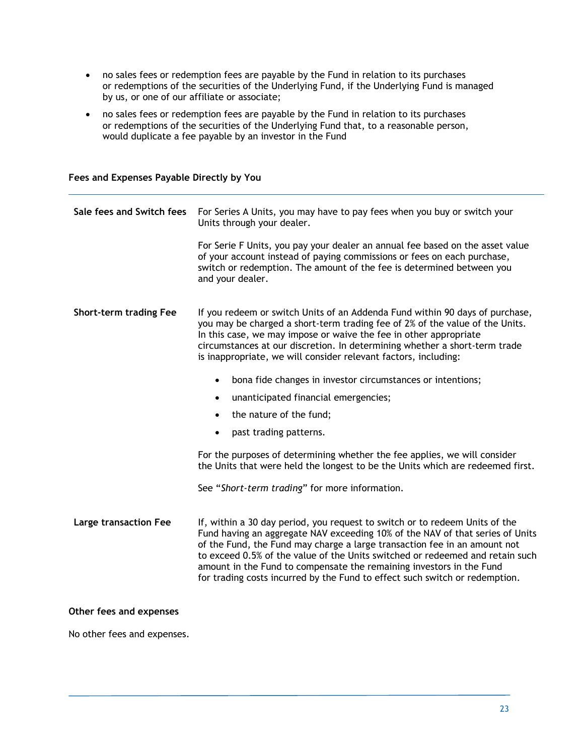- no sales fees or redemption fees are payable by the Fund in relation to its purchases or redemptions of the securities of the Underlying Fund, if the Underlying Fund is managed by us, or one of our affiliate or associate;
- no sales fees or redemption fees are payable by the Fund in relation to its purchases or redemptions of the securities of the Underlying Fund that, to a reasonable person, would duplicate a fee payable by an investor in the Fund

|  | Fees and Expenses Payable Directly by You |  |  |
|--|-------------------------------------------|--|--|
|  |                                           |  |  |

| Sale fees and Switch fees    | For Series A Units, you may have to pay fees when you buy or switch your<br>Units through your dealer.                                                                                                                                                                                                                                                                                                                                                                            |
|------------------------------|-----------------------------------------------------------------------------------------------------------------------------------------------------------------------------------------------------------------------------------------------------------------------------------------------------------------------------------------------------------------------------------------------------------------------------------------------------------------------------------|
|                              | For Serie F Units, you pay your dealer an annual fee based on the asset value<br>of your account instead of paying commissions or fees on each purchase,<br>switch or redemption. The amount of the fee is determined between you<br>and your dealer.                                                                                                                                                                                                                             |
| Short-term trading Fee       | If you redeem or switch Units of an Addenda Fund within 90 days of purchase,<br>you may be charged a short-term trading fee of 2% of the value of the Units.<br>In this case, we may impose or waive the fee in other appropriate<br>circumstances at our discretion. In determining whether a short-term trade<br>is inappropriate, we will consider relevant factors, including:                                                                                                |
|                              | bona fide changes in investor circumstances or intentions;<br>$\bullet$                                                                                                                                                                                                                                                                                                                                                                                                           |
|                              | unanticipated financial emergencies;<br>$\bullet$                                                                                                                                                                                                                                                                                                                                                                                                                                 |
|                              | the nature of the fund;<br>$\bullet$                                                                                                                                                                                                                                                                                                                                                                                                                                              |
|                              | past trading patterns.<br>$\bullet$                                                                                                                                                                                                                                                                                                                                                                                                                                               |
|                              | For the purposes of determining whether the fee applies, we will consider<br>the Units that were held the longest to be the Units which are redeemed first.                                                                                                                                                                                                                                                                                                                       |
|                              | See "Short-term trading" for more information.                                                                                                                                                                                                                                                                                                                                                                                                                                    |
| <b>Large transaction Fee</b> | If, within a 30 day period, you request to switch or to redeem Units of the<br>Fund having an aggregate NAV exceeding 10% of the NAV of that series of Units<br>of the Fund, the Fund may charge a large transaction fee in an amount not<br>to exceed 0.5% of the value of the Units switched or redeemed and retain such<br>amount in the Fund to compensate the remaining investors in the Fund<br>for trading costs incurred by the Fund to effect such switch or redemption. |
| Other fees and expenses      |                                                                                                                                                                                                                                                                                                                                                                                                                                                                                   |

No other fees and expenses.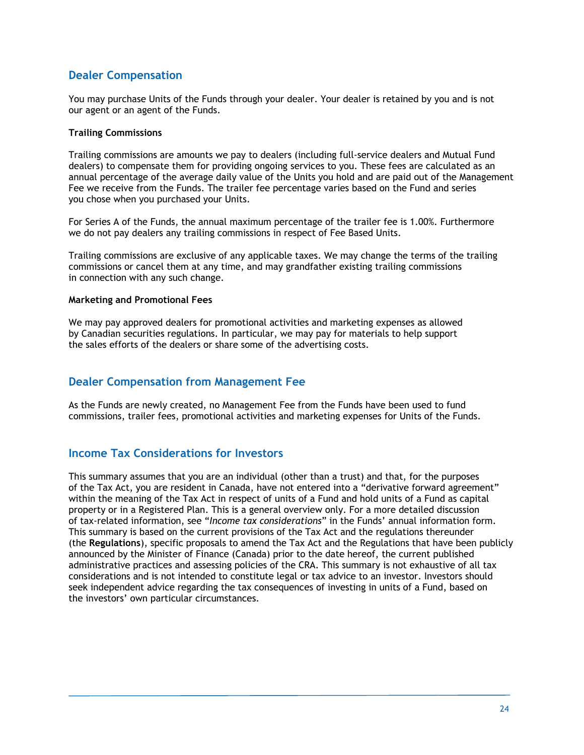### **Dealer Compensation**

You may purchase Units of the Funds through your dealer. Your dealer is retained by you and is not our agent or an agent of the Funds.

### **Trailing Commissions**

Trailing commissions are amounts we pay to dealers (including full-service dealers and Mutual Fund dealers) to compensate them for providing ongoing services to you. These fees are calculated as an annual percentage of the average daily value of the Units you hold and are paid out of the Management Fee we receive from the Funds. The trailer fee percentage varies based on the Fund and series you chose when you purchased your Units.

For Series A of the Funds, the annual maximum percentage of the trailer fee is 1.00%. Furthermore we do not pay dealers any trailing commissions in respect of Fee Based Units.

Trailing commissions are exclusive of any applicable taxes. We may change the terms of the trailing commissions or cancel them at any time, and may grandfather existing trailing commissions in connection with any such change.

### **Marketing and Promotional Fees**

We may pay approved dealers for promotional activities and marketing expenses as allowed by Canadian securities regulations. In particular, we may pay for materials to help support the sales efforts of the dealers or share some of the advertising costs.

### **Dealer Compensation from Management Fee**

As the Funds are newly created, no Management Fee from the Funds have been used to fund commissions, trailer fees, promotional activities and marketing expenses for Units of the Funds.

### **Income Tax Considerations for Investors**

This summary assumes that you are an individual (other than a trust) and that, for the purposes of the Tax Act, you are resident in Canada, have not entered into a "derivative forward agreement" within the meaning of the Tax Act in respect of units of a Fund and hold units of a Fund as capital property or in a Registered Plan. This is a general overview only. For a more detailed discussion of tax-related information, see "*Income tax considerations*" in the Funds' annual information form. This summary is based on the current provisions of the Tax Act and the regulations thereunder (the **Regulations**), specific proposals to amend the Tax Act and the Regulations that have been publicly announced by the Minister of Finance (Canada) prior to the date hereof, the current published administrative practices and assessing policies of the CRA. This summary is not exhaustive of all tax considerations and is not intended to constitute legal or tax advice to an investor. Investors should seek independent advice regarding the tax consequences of investing in units of a Fund, based on the investors' own particular circumstances.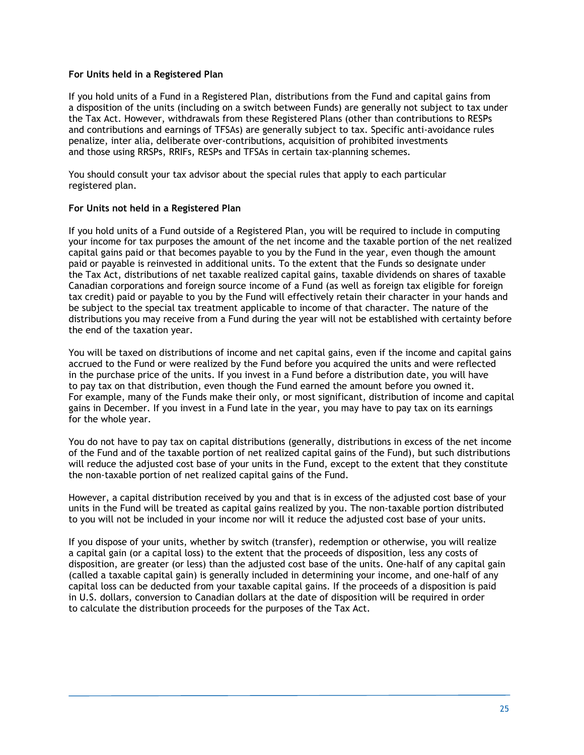### **For Units held in a Registered Plan**

If you hold units of a Fund in a Registered Plan, distributions from the Fund and capital gains from a disposition of the units (including on a switch between Funds) are generally not subject to tax under the Tax Act. However, withdrawals from these Registered Plans (other than contributions to RESPs and contributions and earnings of TFSAs) are generally subject to tax. Specific anti-avoidance rules penalize, inter alia, deliberate over-contributions, acquisition of prohibited investments and those using RRSPs, RRIFs, RESPs and TFSAs in certain tax-planning schemes.

You should consult your tax advisor about the special rules that apply to each particular registered plan.

### **For Units not held in a Registered Plan**

If you hold units of a Fund outside of a Registered Plan, you will be required to include in computing your income for tax purposes the amount of the net income and the taxable portion of the net realized capital gains paid or that becomes payable to you by the Fund in the year, even though the amount paid or payable is reinvested in additional units. To the extent that the Funds so designate under the Tax Act, distributions of net taxable realized capital gains, taxable dividends on shares of taxable Canadian corporations and foreign source income of a Fund (as well as foreign tax eligible for foreign tax credit) paid or payable to you by the Fund will effectively retain their character in your hands and be subject to the special tax treatment applicable to income of that character. The nature of the distributions you may receive from a Fund during the year will not be established with certainty before the end of the taxation year.

You will be taxed on distributions of income and net capital gains, even if the income and capital gains accrued to the Fund or were realized by the Fund before you acquired the units and were reflected in the purchase price of the units. If you invest in a Fund before a distribution date, you will have to pay tax on that distribution, even though the Fund earned the amount before you owned it. For example, many of the Funds make their only, or most significant, distribution of income and capital gains in December. If you invest in a Fund late in the year, you may have to pay tax on its earnings for the whole year.

You do not have to pay tax on capital distributions (generally, distributions in excess of the net income of the Fund and of the taxable portion of net realized capital gains of the Fund), but such distributions will reduce the adjusted cost base of your units in the Fund, except to the extent that they constitute the non-taxable portion of net realized capital gains of the Fund.

However, a capital distribution received by you and that is in excess of the adjusted cost base of your units in the Fund will be treated as capital gains realized by you. The non-taxable portion distributed to you will not be included in your income nor will it reduce the adjusted cost base of your units.

If you dispose of your units, whether by switch (transfer), redemption or otherwise, you will realize a capital gain (or a capital loss) to the extent that the proceeds of disposition, less any costs of disposition, are greater (or less) than the adjusted cost base of the units. One-half of any capital gain (called a taxable capital gain) is generally included in determining your income, and one-half of any capital loss can be deducted from your taxable capital gains. If the proceeds of a disposition is paid in U.S. dollars, conversion to Canadian dollars at the date of disposition will be required in order to calculate the distribution proceeds for the purposes of the Tax Act.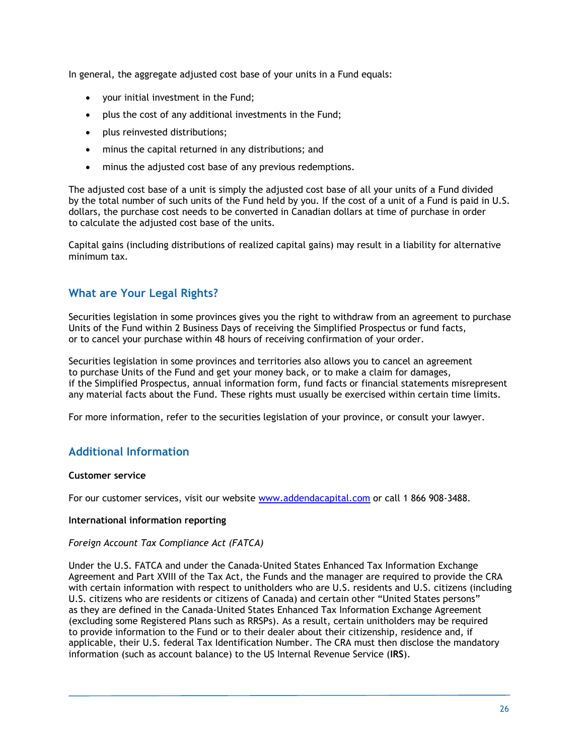In general, the aggregate adjusted cost base of your units in a Fund equals:

- your initial investment in the Fund;
- plus the cost of any additional investments in the Fund;
- plus reinvested distributions;
- minus the capital returned in any distributions; and
- minus the adjusted cost base of any previous redemptions.

The adjusted cost base of a unit is simply the adjusted cost base of all your units of a Fund divided by the total number of such units of the Fund held by you. If the cost of a unit of a Fund is paid in U.S. dollars, the purchase cost needs to be converted in Canadian dollars at time of purchase in order to calculate the adjusted cost base of the units.

Capital gains (including distributions of realized capital gains) may result in a liability for alternative minimum tax.

### **What are Your Legal Rights?**

Securities legislation in some provinces gives you the right to withdraw from an agreement to purchase Units of the Fund within 2 Business Days of receiving the Simplified Prospectus or fund facts, or to cancel your purchase within 48 hours of receiving confirmation of your order.

Securities legislation in some provinces and territories also allows you to cancel an agreement to purchase Units of the Fund and get your money back, or to make a claim for damages, if the Simplified Prospectus, annual information form, fund facts or financial statements misrepresent any material facts about the Fund. These rights must usually be exercised within certain time limits.

For more information, refer to the securities legislation of your province, or consult your lawyer.

### **Additional Information**

### **Customer service**

For our customer services, visit our website www.addendacapital.com or call 1 866 908-3488.

### **International information reporting**

### *Foreign Account Tax Compliance Act (FATCA)*

Under the U.S. FATCA and under the Canada-United States Enhanced Tax Information Exchange Agreement and Part XVIII of the Tax Act, the Funds and the manager are required to provide the CRA with certain information with respect to unitholders who are U.S. residents and U.S. citizens (including U.S. citizens who are residents or citizens of Canada) and certain other "United States persons" as they are defined in the Canada-United States Enhanced Tax Information Exchange Agreement (excluding some Registered Plans such as RRSPs). As a result, certain unitholders may be required to provide information to the Fund or to their dealer about their citizenship, residence and, if applicable, their U.S. federal Tax Identification Number. The CRA must then disclose the mandatory information (such as account balance) to the US Internal Revenue Service (**IRS**).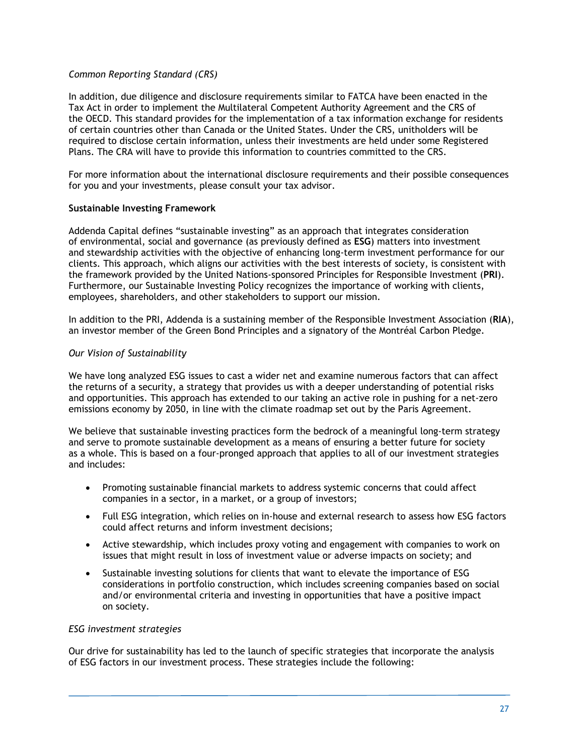### *Common Reporting Standard (CRS)*

In addition, due diligence and disclosure requirements similar to FATCA have been enacted in the Tax Act in order to implement the Multilateral Competent Authority Agreement and the CRS of the OECD. This standard provides for the implementation of a tax information exchange for residents of certain countries other than Canada or the United States. Under the CRS, unitholders will be required to disclose certain information, unless their investments are held under some Registered Plans. The CRA will have to provide this information to countries committed to the CRS.

For more information about the international disclosure requirements and their possible consequences for you and your investments, please consult your tax advisor.

### **Sustainable Investing Framework**

Addenda Capital defines "sustainable investing" as an approach that integrates consideration of environmental, social and governance (as previously defined as **ESG**) matters into investment and stewardship activities with the objective of enhancing long-term investment performance for our clients. This approach, which aligns our activities with the best interests of society, is consistent with the framework provided by the United Nations-sponsored Principles for Responsible Investment (**PRI**). Furthermore, our Sustainable Investing Policy recognizes the importance of working with clients, employees, shareholders, and other stakeholders to support our mission.

In addition to the PRI, Addenda is a sustaining member of the Responsible Investment Association (**RIA**), an investor member of the Green Bond Principles and a signatory of the Montréal Carbon Pledge.

### *Our Vision of Sustainability*

We have long analyzed ESG issues to cast a wider net and examine numerous factors that can affect the returns of a security, a strategy that provides us with a deeper understanding of potential risks and opportunities. This approach has extended to our taking an active role in pushing for a net-zero emissions economy by 2050, in line with the climate roadmap set out by the Paris Agreement.

We believe that sustainable investing practices form the bedrock of a meaningful long-term strategy and serve to promote sustainable development as a means of ensuring a better future for society as a whole. This is based on a four-pronged approach that applies to all of our investment strategies and includes:

- Promoting sustainable financial markets to address systemic concerns that could affect companies in a sector, in a market, or a group of investors;
- Full ESG integration, which relies on in-house and external research to assess how ESG factors could affect returns and inform investment decisions;
- Active stewardship, which includes proxy voting and engagement with companies to work on issues that might result in loss of investment value or adverse impacts on society; and
- Sustainable investing solutions for clients that want to elevate the importance of ESG considerations in portfolio construction, which includes screening companies based on social and/or environmental criteria and investing in opportunities that have a positive impact on society.

### *ESG investment strategies*

Our drive for sustainability has led to the launch of specific strategies that incorporate the analysis of ESG factors in our investment process. These strategies include the following: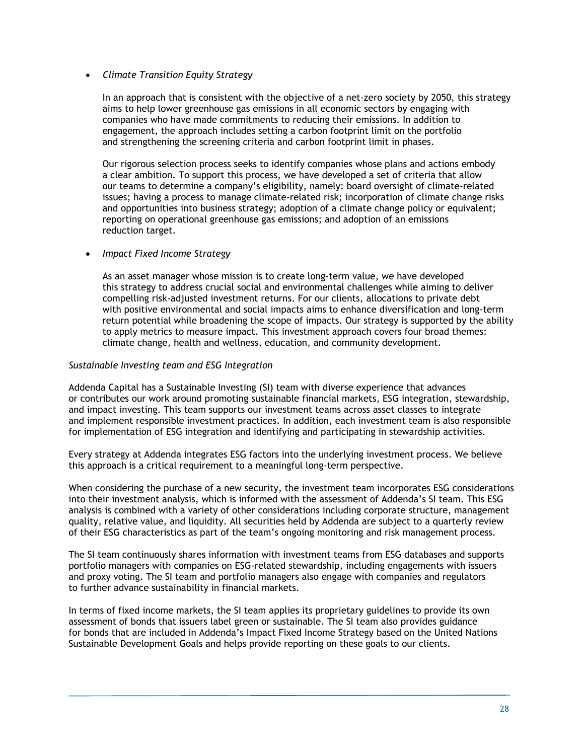### *Climate Transition Equity Strategy*

In an approach that is consistent with the objective of a net-zero society by 2050, this strategy aims to help lower greenhouse gas emissions in all economic sectors by engaging with companies who have made commitments to reducing their emissions. In addition to engagement, the approach includes setting a carbon footprint limit on the portfolio and strengthening the screening criteria and carbon footprint limit in phases.

Our rigorous selection process seeks to identify companies whose plans and actions embody a clear ambition. To support this process, we have developed a set of criteria that allow our teams to determine a company's eligibility, namely: board oversight of climate-related issues; having a process to manage climate-related risk; incorporation of climate change risks and opportunities into business strategy; adoption of a climate change policy or equivalent; reporting on operational greenhouse gas emissions; and adoption of an emissions reduction target.

### *Impact Fixed Income Strategy*

As an asset manager whose mission is to create long-term value, we have developed this strategy to address crucial social and environmental challenges while aiming to deliver compelling risk-adjusted investment returns. For our clients, allocations to private debt with positive environmental and social impacts aims to enhance diversification and long-term return potential while broadening the scope of impacts. Our strategy is supported by the ability to apply metrics to measure impact. This investment approach covers four broad themes: climate change, health and wellness, education, and community development.

### *Sustainable Investing team and ESG Integration*

Addenda Capital has a Sustainable Investing (SI) team with diverse experience that advances or contributes our work around promoting sustainable financial markets, ESG integration, stewardship, and impact investing. This team supports our investment teams across asset classes to integrate and implement responsible investment practices. In addition, each investment team is also responsible for implementation of ESG integration and identifying and participating in stewardship activities.

Every strategy at Addenda integrates ESG factors into the underlying investment process. We believe this approach is a critical requirement to a meaningful long-term perspective.

When considering the purchase of a new security, the investment team incorporates ESG considerations into their investment analysis, which is informed with the assessment of Addenda's SI team. This ESG analysis is combined with a variety of other considerations including corporate structure, management quality, relative value, and liquidity. All securities held by Addenda are subject to a quarterly review of their ESG characteristics as part of the team's ongoing monitoring and risk management process.

The SI team continuously shares information with investment teams from ESG databases and supports portfolio managers with companies on ESG-related stewardship, including engagements with issuers and proxy voting. The SI team and portfolio managers also engage with companies and regulators to further advance sustainability in financial markets.

In terms of fixed income markets, the SI team applies its proprietary guidelines to provide its own assessment of bonds that issuers label green or sustainable. The SI team also provides guidance for bonds that are included in Addenda's Impact Fixed Income Strategy based on the United Nations Sustainable Development Goals and helps provide reporting on these goals to our clients.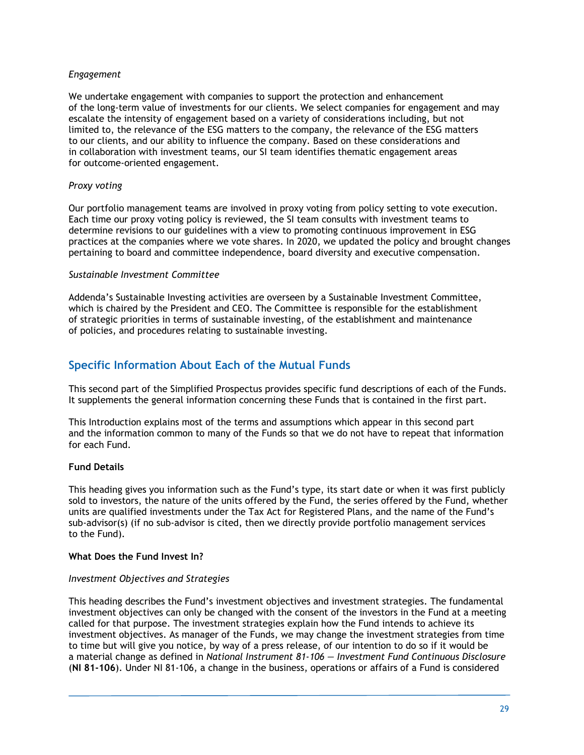### *Engagement*

We undertake engagement with companies to support the protection and enhancement of the long-term value of investments for our clients. We select companies for engagement and may escalate the intensity of engagement based on a variety of considerations including, but not limited to, the relevance of the ESG matters to the company, the relevance of the ESG matters to our clients, and our ability to influence the company. Based on these considerations and in collaboration with investment teams, our SI team identifies thematic engagement areas for outcome-oriented engagement.

### *Proxy voting*

Our portfolio management teams are involved in proxy voting from policy setting to vote execution. Each time our proxy voting policy is reviewed, the SI team consults with investment teams to determine revisions to our guidelines with a view to promoting continuous improvement in ESG practices at the companies where we vote shares. In 2020, we updated the policy and brought changes pertaining to board and committee independence, board diversity and executive compensation.

### *Sustainable Investment Committee*

Addenda's Sustainable Investing activities are overseen by a Sustainable Investment Committee, which is chaired by the President and CEO. The Committee is responsible for the establishment of strategic priorities in terms of sustainable investing, of the establishment and maintenance of policies, and procedures relating to sustainable investing.

### **Specific Information About Each of the Mutual Funds**

This second part of the Simplified Prospectus provides specific fund descriptions of each of the Funds. It supplements the general information concerning these Funds that is contained in the first part.

This Introduction explains most of the terms and assumptions which appear in this second part and the information common to many of the Funds so that we do not have to repeat that information for each Fund.

### **Fund Details**

This heading gives you information such as the Fund's type, its start date or when it was first publicly sold to investors, the nature of the units offered by the Fund, the series offered by the Fund, whether units are qualified investments under the Tax Act for Registered Plans, and the name of the Fund's sub-advisor(s) (if no sub-advisor is cited, then we directly provide portfolio management services to the Fund).

### **What Does the Fund Invest In?**

### *Investment Objectives and Strategies*

This heading describes the Fund's investment objectives and investment strategies. The fundamental investment objectives can only be changed with the consent of the investors in the Fund at a meeting called for that purpose. The investment strategies explain how the Fund intends to achieve its investment objectives. As manager of the Funds, we may change the investment strategies from time to time but will give you notice, by way of a press release, of our intention to do so if it would be a material change as defined in *National Instrument 81-106 — Investment Fund Continuous Disclosure* (**NI 81-106**). Under NI 81-106, a change in the business, operations or affairs of a Fund is considered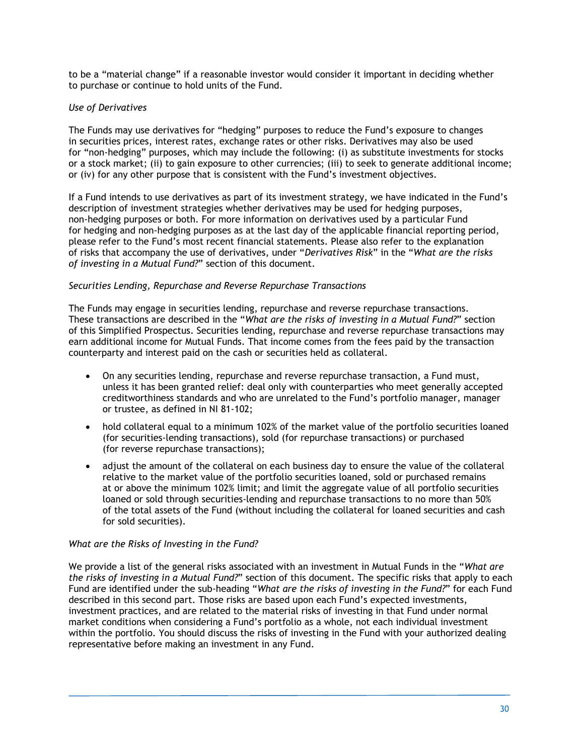to be a "material change" if a reasonable investor would consider it important in deciding whether to purchase or continue to hold units of the Fund.

### *Use of Derivatives*

The Funds may use derivatives for "hedging" purposes to reduce the Fund's exposure to changes in securities prices, interest rates, exchange rates or other risks. Derivatives may also be used for "non-hedging" purposes, which may include the following: (i) as substitute investments for stocks or a stock market; (ii) to gain exposure to other currencies; (iii) to seek to generate additional income; or (iv) for any other purpose that is consistent with the Fund's investment objectives.

If a Fund intends to use derivatives as part of its investment strategy, we have indicated in the Fund's description of investment strategies whether derivatives may be used for hedging purposes, non-hedging purposes or both. For more information on derivatives used by a particular Fund for hedging and non-hedging purposes as at the last day of the applicable financial reporting period, please refer to the Fund's most recent financial statements. Please also refer to the explanation of risks that accompany the use of derivatives, under "*Derivatives Risk*" in the "*What are the risks of investing in a Mutual Fund?*" section of this document.

### *Securities Lending, Repurchase and Reverse Repurchase Transactions*

The Funds may engage in securities lending, repurchase and reverse repurchase transactions. These transactions are described in the "*What are the risks of investing in a Mutual Fund?*" section of this Simplified Prospectus. Securities lending, repurchase and reverse repurchase transactions may earn additional income for Mutual Funds. That income comes from the fees paid by the transaction counterparty and interest paid on the cash or securities held as collateral.

- On any securities lending, repurchase and reverse repurchase transaction, a Fund must, unless it has been granted relief: deal only with counterparties who meet generally accepted creditworthiness standards and who are unrelated to the Fund's portfolio manager, manager or trustee, as defined in NI 81-102;
- hold collateral equal to a minimum 102% of the market value of the portfolio securities loaned (for securities-lending transactions), sold (for repurchase transactions) or purchased (for reverse repurchase transactions);
- adjust the amount of the collateral on each business day to ensure the value of the collateral relative to the market value of the portfolio securities loaned, sold or purchased remains at or above the minimum 102% limit; and limit the aggregate value of all portfolio securities loaned or sold through securities-lending and repurchase transactions to no more than 50% of the total assets of the Fund (without including the collateral for loaned securities and cash for sold securities).

### *What are the Risks of Investing in the Fund?*

We provide a list of the general risks associated with an investment in Mutual Funds in the "*What are the risks of investing in a Mutual Fund?*" section of this document. The specific risks that apply to each Fund are identified under the sub-heading "*What are the risks of investing in the Fund?*" for each Fund described in this second part. Those risks are based upon each Fund's expected investments, investment practices, and are related to the material risks of investing in that Fund under normal market conditions when considering a Fund's portfolio as a whole, not each individual investment within the portfolio. You should discuss the risks of investing in the Fund with your authorized dealing representative before making an investment in any Fund.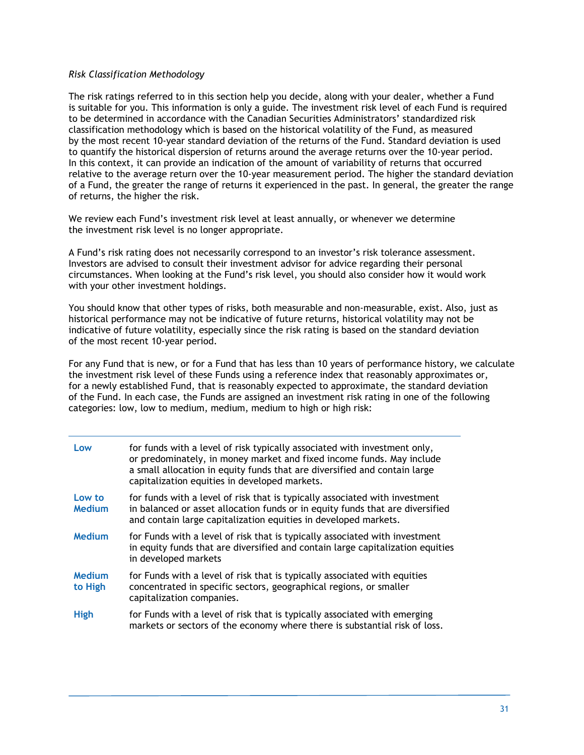### *Risk Classification Methodology*

The risk ratings referred to in this section help you decide, along with your dealer, whether a Fund is suitable for you. This information is only a guide. The investment risk level of each Fund is required to be determined in accordance with the Canadian Securities Administrators' standardized risk classification methodology which is based on the historical volatility of the Fund, as measured by the most recent 10-year standard deviation of the returns of the Fund. Standard deviation is used to quantify the historical dispersion of returns around the average returns over the 10-year period. In this context, it can provide an indication of the amount of variability of returns that occurred relative to the average return over the 10-year measurement period. The higher the standard deviation of a Fund, the greater the range of returns it experienced in the past. In general, the greater the range of returns, the higher the risk.

We review each Fund's investment risk level at least annually, or whenever we determine the investment risk level is no longer appropriate.

A Fund's risk rating does not necessarily correspond to an investor's risk tolerance assessment. Investors are advised to consult their investment advisor for advice regarding their personal circumstances. When looking at the Fund's risk level, you should also consider how it would work with your other investment holdings.

You should know that other types of risks, both measurable and non-measurable, exist. Also, just as historical performance may not be indicative of future returns, historical volatility may not be indicative of future volatility, especially since the risk rating is based on the standard deviation of the most recent 10-year period.

For any Fund that is new, or for a Fund that has less than 10 years of performance history, we calculate the investment risk level of these Funds using a reference index that reasonably approximates or, for a newly established Fund, that is reasonably expected to approximate, the standard deviation of the Fund. In each case, the Funds are assigned an investment risk rating in one of the following categories: low, low to medium, medium, medium to high or high risk:

| Low                      | for funds with a level of risk typically associated with investment only,<br>or predominately, in money market and fixed income funds. May include<br>a small allocation in equity funds that are diversified and contain large<br>capitalization equities in developed markets. |
|--------------------------|----------------------------------------------------------------------------------------------------------------------------------------------------------------------------------------------------------------------------------------------------------------------------------|
| Low to<br><b>Medium</b>  | for funds with a level of risk that is typically associated with investment<br>in balanced or asset allocation funds or in equity funds that are diversified<br>and contain large capitalization equities in developed markets.                                                  |
| <b>Medium</b>            | for Funds with a level of risk that is typically associated with investment<br>in equity funds that are diversified and contain large capitalization equities<br>in developed markets                                                                                            |
| <b>Medium</b><br>to High | for Funds with a level of risk that is typically associated with equities<br>concentrated in specific sectors, geographical regions, or smaller<br>capitalization companies.                                                                                                     |
| <b>High</b>              | for Funds with a level of risk that is typically associated with emerging<br>markets or sectors of the economy where there is substantial risk of loss.                                                                                                                          |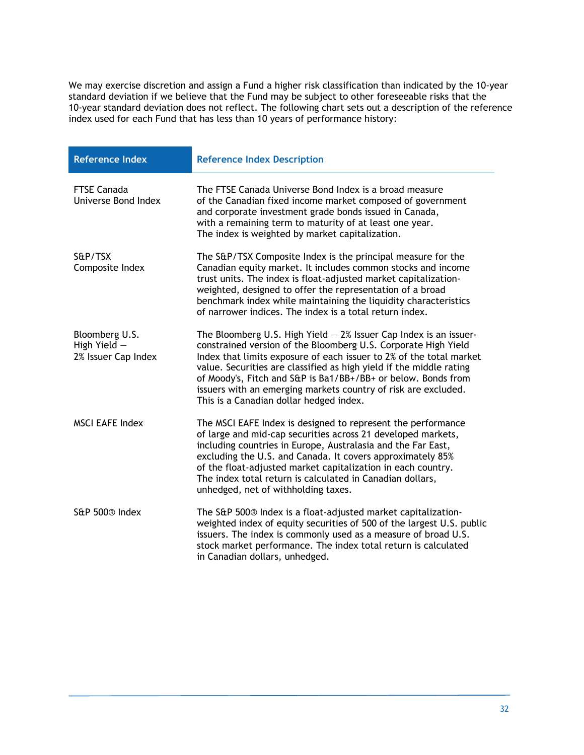We may exercise discretion and assign a Fund a higher risk classification than indicated by the 10-year standard deviation if we believe that the Fund may be subject to other foreseeable risks that the 10-year standard deviation does not reflect. The following chart sets out a description of the reference index used for each Fund that has less than 10 years of performance history:

| <b>Reference Index</b>                                | <b>Reference Index Description</b>                                                                                                                                                                                                                                                                                                                                                                                                                                |
|-------------------------------------------------------|-------------------------------------------------------------------------------------------------------------------------------------------------------------------------------------------------------------------------------------------------------------------------------------------------------------------------------------------------------------------------------------------------------------------------------------------------------------------|
| <b>FTSE Canada</b><br>Universe Bond Index             | The FTSE Canada Universe Bond Index is a broad measure<br>of the Canadian fixed income market composed of government<br>and corporate investment grade bonds issued in Canada,<br>with a remaining term to maturity of at least one year.<br>The index is weighted by market capitalization.                                                                                                                                                                      |
| S&P/TSX<br>Composite Index                            | The S&P/TSX Composite Index is the principal measure for the<br>Canadian equity market. It includes common stocks and income<br>trust units. The index is float-adjusted market capitalization-<br>weighted, designed to offer the representation of a broad<br>benchmark index while maintaining the liquidity characteristics<br>of narrower indices. The index is a total return index.                                                                        |
| Bloomberg U.S.<br>High Yield -<br>2% Issuer Cap Index | The Bloomberg U.S. High Yield $-$ 2% Issuer Cap Index is an issuer-<br>constrained version of the Bloomberg U.S. Corporate High Yield<br>Index that limits exposure of each issuer to 2% of the total market<br>value. Securities are classified as high yield if the middle rating<br>of Moody's, Fitch and S&P is Ba1/BB+/BB+ or below. Bonds from<br>issuers with an emerging markets country of risk are excluded.<br>This is a Canadian dollar hedged index. |
| <b>MSCI EAFE Index</b>                                | The MSCI EAFE Index is designed to represent the performance<br>of large and mid-cap securities across 21 developed markets,<br>including countries in Europe, Australasia and the Far East,<br>excluding the U.S. and Canada. It covers approximately 85%<br>of the float-adjusted market capitalization in each country.<br>The index total return is calculated in Canadian dollars,<br>unhedged, net of withholding taxes.                                    |
| S&P 500 <sup>®</sup> Index                            | The S&P 500® Index is a float-adjusted market capitalization-<br>weighted index of equity securities of 500 of the largest U.S. public<br>issuers. The index is commonly used as a measure of broad U.S.<br>stock market performance. The index total return is calculated<br>in Canadian dollars, unhedged.                                                                                                                                                      |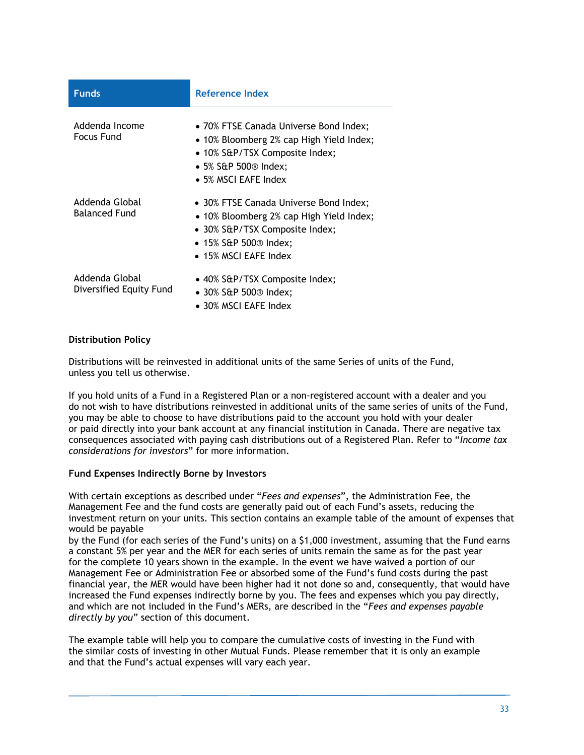| <b>Funds</b>                              | Reference Index                                                                                                                                                                                    |
|-------------------------------------------|----------------------------------------------------------------------------------------------------------------------------------------------------------------------------------------------------|
| Addenda Income<br>Focus Fund              | • 70% FTSE Canada Universe Bond Index;<br>• 10% Bloomberg 2% cap High Yield Index;<br>• 10% S&P/TSX Composite Index;<br>$\bullet$ 5% S&P 500 <sup>®</sup> Index;<br>$\bullet$ 5% MSCI EAFE Index   |
| Addenda Global<br><b>Balanced Fund</b>    | • 30% FTSE Canada Universe Bond Index;<br>• 10% Bloomberg 2% cap High Yield Index;<br>• 30% S&P/TSX Composite Index;<br>$\bullet$ 15% S&P 500 <sup>®</sup> Index;<br>$\bullet$ 15% MSCI EAFE Index |
| Addenda Global<br>Diversified Equity Fund | • 40% S&P/TSX Composite Index;<br>$\bullet$ 30% S&P 500 <sup>®</sup> Index;<br>$\bullet$ 30% MSCI EAFE Index                                                                                       |

### **Distribution Policy**

Distributions will be reinvested in additional units of the same Series of units of the Fund, unless you tell us otherwise.

If you hold units of a Fund in a Registered Plan or a non-registered account with a dealer and you do not wish to have distributions reinvested in additional units of the same series of units of the Fund, you may be able to choose to have distributions paid to the account you hold with your dealer or paid directly into your bank account at any financial institution in Canada. There are negative tax consequences associated with paying cash distributions out of a Registered Plan. Refer to "*Income tax considerations for investors*" for more information.

### **Fund Expenses Indirectly Borne by Investors**

With certain exceptions as described under "*Fees and expenses*", the Administration Fee, the Management Fee and the fund costs are generally paid out of each Fund's assets, reducing the investment return on your units. This section contains an example table of the amount of expenses that would be payable

by the Fund (for each series of the Fund's units) on a \$1,000 investment, assuming that the Fund earns a constant 5% per year and the MER for each series of units remain the same as for the past year for the complete 10 years shown in the example. In the event we have waived a portion of our Management Fee or Administration Fee or absorbed some of the Fund's fund costs during the past financial year, the MER would have been higher had it not done so and, consequently, that would have increased the Fund expenses indirectly borne by you. The fees and expenses which you pay directly, and which are not included in the Fund's MERs, are described in the "*Fees and expenses payable directly by you*" section of this document.

The example table will help you to compare the cumulative costs of investing in the Fund with the similar costs of investing in other Mutual Funds. Please remember that it is only an example and that the Fund's actual expenses will vary each year.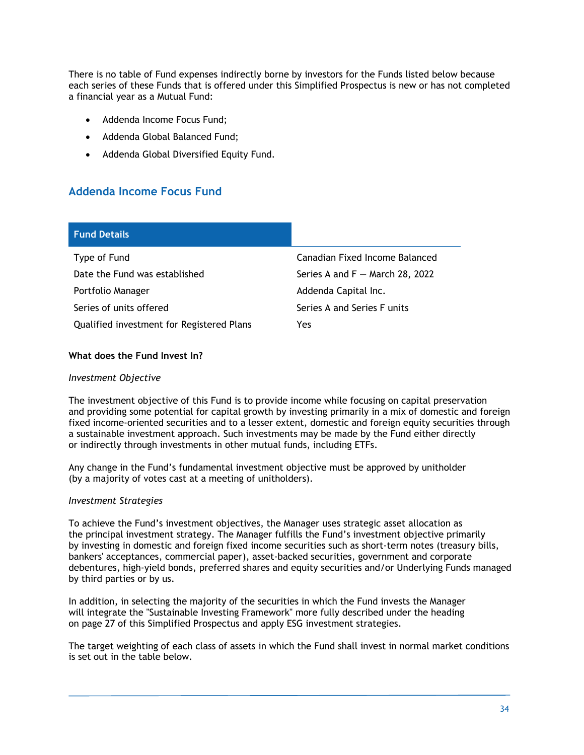There is no table of Fund expenses indirectly borne by investors for the Funds listed below because each series of these Funds that is offered under this Simplified Prospectus is new or has not completed a financial year as a Mutual Fund:

- Addenda Income Focus Fund;
- Addenda Global Balanced Fund;
- Addenda Global Diversified Equity Fund.

### **Addenda Income Focus Fund**

| <b>Fund Details</b>                       |                                   |
|-------------------------------------------|-----------------------------------|
| Type of Fund                              | Canadian Fixed Income Balanced    |
| Date the Fund was established             | Series A and $F -$ March 28, 2022 |
| Portfolio Manager                         | Addenda Capital Inc.              |
| Series of units offered                   | Series A and Series F units       |
| Qualified investment for Registered Plans | Yes                               |

### **What does the Fund Invest In?**

### *Investment Objective*

The investment objective of this Fund is to provide income while focusing on capital preservation and providing some potential for capital growth by investing primarily in a mix of domestic and foreign fixed income-oriented securities and to a lesser extent, domestic and foreign equity securities through a sustainable investment approach. Such investments may be made by the Fund either directly or indirectly through investments in other mutual funds, including ETFs.

Any change in the Fund's fundamental investment objective must be approved by unitholder (by a majority of votes cast at a meeting of unitholders).

### *Investment Strategies*

To achieve the Fund's investment objectives, the Manager uses strategic asset allocation as the principal investment strategy. The Manager fulfills the Fund's investment objective primarily by investing in domestic and foreign fixed income securities such as short-term notes (treasury bills, bankers' acceptances, commercial paper), asset-backed securities, government and corporate debentures, high-yield bonds, preferred shares and equity securities and/or Underlying Funds managed by third parties or by us.

In addition, in selecting the majority of the securities in which the Fund invests the Manager will integrate the "Sustainable Investing Framework" more fully described under the heading on page 27 of this Simplified Prospectus and apply ESG investment strategies.

The target weighting of each class of assets in which the Fund shall invest in normal market conditions is set out in the table below.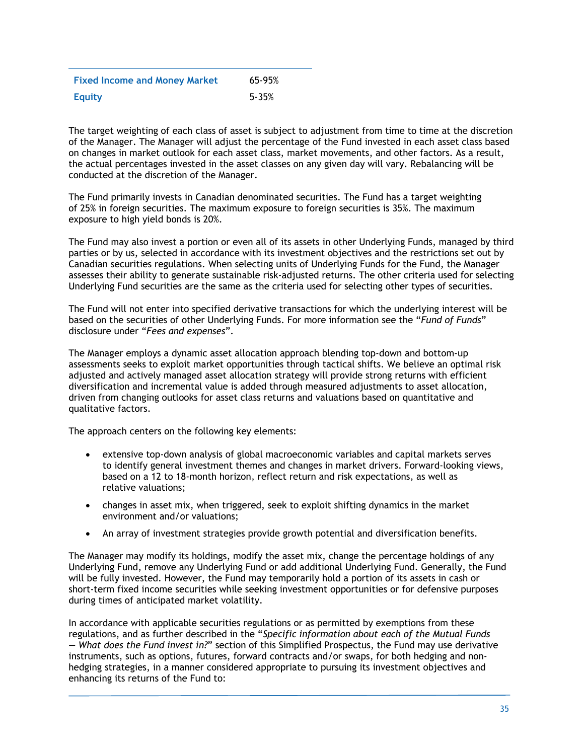| <b>Fixed Income and Money Market</b> | 65-95%    |
|--------------------------------------|-----------|
| <b>Equity</b>                        | $5 - 35%$ |

The target weighting of each class of asset is subject to adjustment from time to time at the discretion of the Manager. The Manager will adjust the percentage of the Fund invested in each asset class based on changes in market outlook for each asset class, market movements, and other factors. As a result, the actual percentages invested in the asset classes on any given day will vary. Rebalancing will be conducted at the discretion of the Manager.

The Fund primarily invests in Canadian denominated securities. The Fund has a target weighting of 25% in foreign securities. The maximum exposure to foreign securities is 35%. The maximum exposure to high yield bonds is 20%.

The Fund may also invest a portion or even all of its assets in other Underlying Funds, managed by third parties or by us, selected in accordance with its investment objectives and the restrictions set out by Canadian securities regulations. When selecting units of Underlying Funds for the Fund, the Manager assesses their ability to generate sustainable risk-adjusted returns. The other criteria used for selecting Underlying Fund securities are the same as the criteria used for selecting other types of securities.

The Fund will not enter into specified derivative transactions for which the underlying interest will be based on the securities of other Underlying Funds. For more information see the "*Fund of Funds*" disclosure under "*Fees and expenses*".

The Manager employs a dynamic asset allocation approach blending top-down and bottom-up assessments seeks to exploit market opportunities through tactical shifts. We believe an optimal risk adjusted and actively managed asset allocation strategy will provide strong returns with efficient diversification and incremental value is added through measured adjustments to asset allocation, driven from changing outlooks for asset class returns and valuations based on quantitative and qualitative factors.

The approach centers on the following key elements:

- extensive top-down analysis of global macroeconomic variables and capital markets serves to identify general investment themes and changes in market drivers. Forward-looking views, based on a 12 to 18-month horizon, reflect return and risk expectations, as well as relative valuations;
- changes in asset mix, when triggered, seek to exploit shifting dynamics in the market environment and/or valuations;
- An array of investment strategies provide growth potential and diversification benefits.

The Manager may modify its holdings, modify the asset mix, change the percentage holdings of any Underlying Fund, remove any Underlying Fund or add additional Underlying Fund. Generally, the Fund will be fully invested. However, the Fund may temporarily hold a portion of its assets in cash or short-term fixed income securities while seeking investment opportunities or for defensive purposes during times of anticipated market volatility.

In accordance with applicable securities regulations or as permitted by exemptions from these regulations, and as further described in the "*Specific information about each of the Mutual Funds — What does the Fund invest in?*" section of this Simplified Prospectus, the Fund may use derivative instruments, such as options, futures, forward contracts and/or swaps, for both hedging and nonhedging strategies, in a manner considered appropriate to pursuing its investment objectives and enhancing its returns of the Fund to: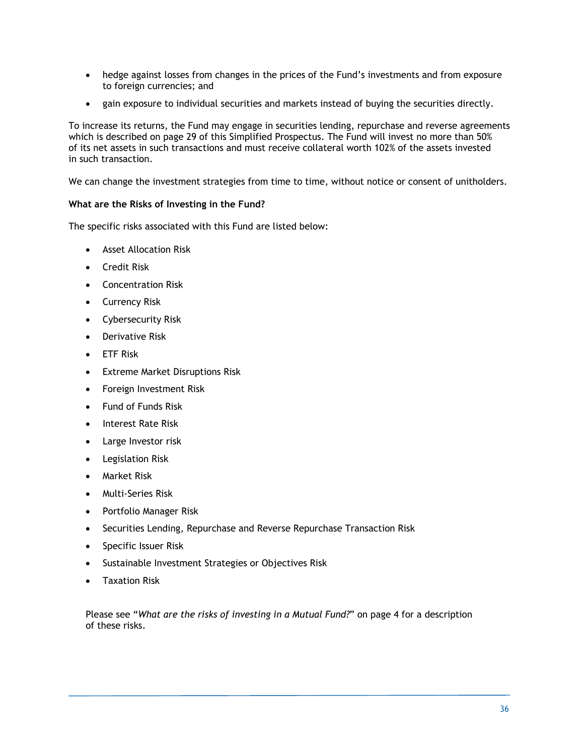- hedge against losses from changes in the prices of the Fund's investments and from exposure to foreign currencies; and
- gain exposure to individual securities and markets instead of buying the securities directly.

To increase its returns, the Fund may engage in securities lending, repurchase and reverse agreements which is described on page 29 of this Simplified Prospectus. The Fund will invest no more than 50% of its net assets in such transactions and must receive collateral worth 102% of the assets invested in such transaction.

We can change the investment strategies from time to time, without notice or consent of unitholders.

### **What are the Risks of Investing in the Fund?**

The specific risks associated with this Fund are listed below:

- Asset Allocation Risk
- **•** Credit Risk
- Concentration Risk
- Currency Risk
- Cybersecurity Risk
- **•** Derivative Risk
- ETF Risk
- Extreme Market Disruptions Risk
- Foreign Investment Risk
- **•** Fund of Funds Risk
- Interest Rate Risk
- Large Investor risk
- Legislation Risk
- Market Risk
- Multi-Series Risk
- Portfolio Manager Risk
- Securities Lending, Repurchase and Reverse Repurchase Transaction Risk
- Specific Issuer Risk
- Sustainable Investment Strategies or Objectives Risk
- Taxation Risk

Please see "*What are the risks of investing in a Mutual Fund?*" on page 4 for a description of these risks.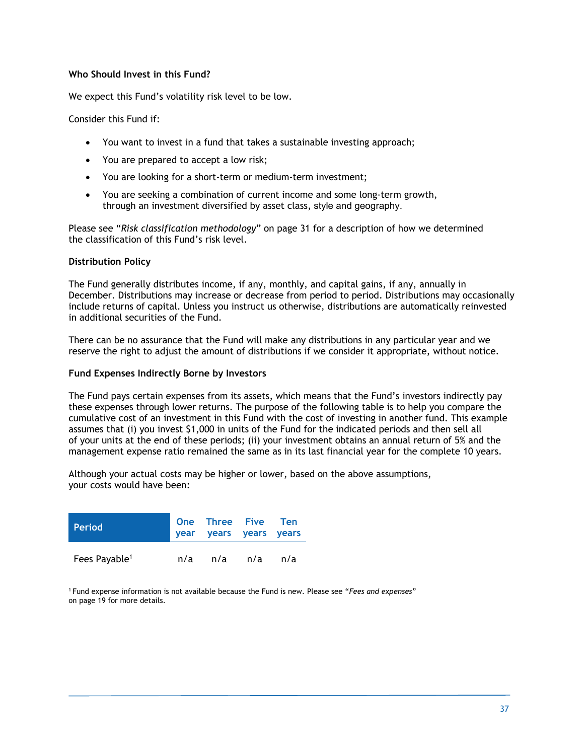### **Who Should Invest in this Fund?**

We expect this Fund's volatility risk level to be low.

Consider this Fund if:

- You want to invest in a fund that takes a sustainable investing approach;
- You are prepared to accept a low risk;
- You are looking for a short-term or medium-term investment;
- You are seeking a combination of current income and some long-term growth, through an investment diversified by asset class, style and geography.

Please see "*Risk classification methodology*" on page 31 for a description of how we determined the classification of this Fund's risk level.

### **Distribution Policy**

The Fund generally distributes income, if any, monthly, and capital gains, if any, annually in December. Distributions may increase or decrease from period to period. Distributions may occasionally include returns of capital. Unless you instruct us otherwise, distributions are automatically reinvested in additional securities of the Fund.

There can be no assurance that the Fund will make any distributions in any particular year and we reserve the right to adjust the amount of distributions if we consider it appropriate, without notice.

### **Fund Expenses Indirectly Borne by Investors**

The Fund pays certain expenses from its assets, which means that the Fund's investors indirectly pay these expenses through lower returns. The purpose of the following table is to help you compare the cumulative cost of an investment in this Fund with the cost of investing in another fund. This example assumes that (i) you invest \$1,000 in units of the Fund for the indicated periods and then sell all of your units at the end of these periods; (ii) your investment obtains an annual return of 5% and the management expense ratio remained the same as in its last financial year for the complete 10 years.

Although your actual costs may be higher or lower, based on the above assumptions, your costs would have been:

| <b>Period</b>             |     | One Three Five Ten<br>year years years years |     |
|---------------------------|-----|----------------------------------------------|-----|
| Fees Payable <sup>1</sup> | n/a | n/a n/a                                      | n/a |

1 Fund expense information is not available because the Fund is new. Please see "*Fees and expenses*" on page 19 for more details.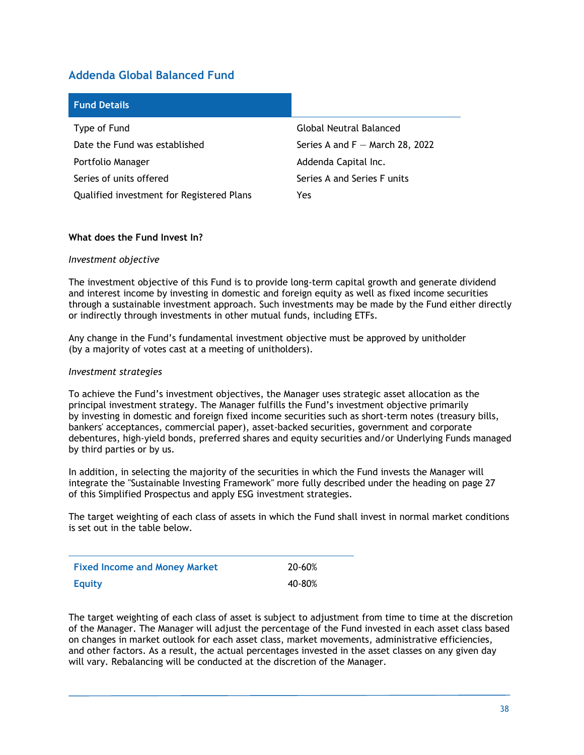### **Addenda Global Balanced Fund**

| <b>Fund Details</b>                       |                                   |
|-------------------------------------------|-----------------------------------|
| Type of Fund                              | <b>Global Neutral Balanced</b>    |
| Date the Fund was established             | Series A and $F -$ March 28, 2022 |
| Portfolio Manager                         | Addenda Capital Inc.              |
| Series of units offered                   | Series A and Series F units       |
| Qualified investment for Registered Plans | Yes                               |

### **What does the Fund Invest In?**

### *Investment objective*

The investment objective of this Fund is to provide long-term capital growth and generate dividend and interest income by investing in domestic and foreign equity as well as fixed income securities through a sustainable investment approach. Such investments may be made by the Fund either directly or indirectly through investments in other mutual funds, including ETFs.

Any change in the Fund's fundamental investment objective must be approved by unitholder (by a majority of votes cast at a meeting of unitholders).

#### *Investment strategies*

To achieve the Fund's investment objectives, the Manager uses strategic asset allocation as the principal investment strategy. The Manager fulfills the Fund's investment objective primarily by investing in domestic and foreign fixed income securities such as short-term notes (treasury bills, bankers' acceptances, commercial paper), asset-backed securities, government and corporate debentures, high-yield bonds, preferred shares and equity securities and/or Underlying Funds managed by third parties or by us.

In addition, in selecting the majority of the securities in which the Fund invests the Manager will integrate the "Sustainable Investing Framework" more fully described under the heading on page 27 of this Simplified Prospectus and apply ESG investment strategies.

The target weighting of each class of assets in which the Fund shall invest in normal market conditions is set out in the table below.

| <b>Fixed Income and Money Market</b> | 20-60% |
|--------------------------------------|--------|
| <b>Equity</b>                        | 40-80% |

The target weighting of each class of asset is subject to adjustment from time to time at the discretion of the Manager. The Manager will adjust the percentage of the Fund invested in each asset class based on changes in market outlook for each asset class, market movements, administrative efficiencies, and other factors. As a result, the actual percentages invested in the asset classes on any given day will vary. Rebalancing will be conducted at the discretion of the Manager.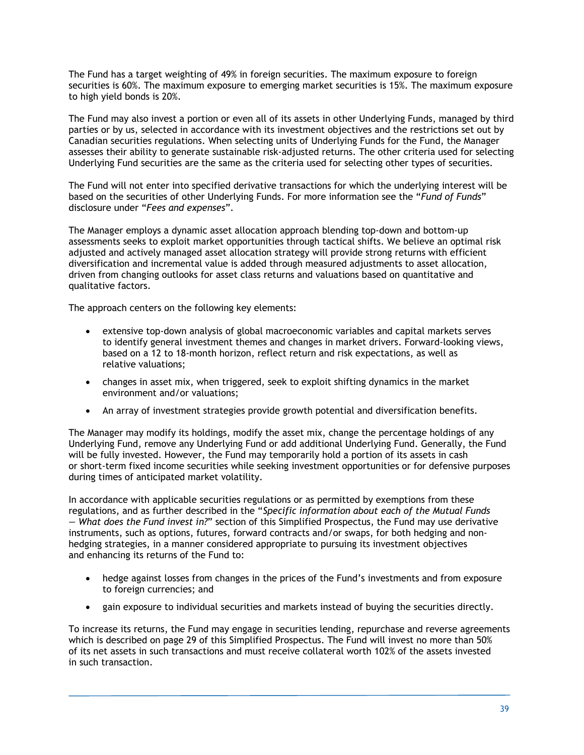The Fund has a target weighting of 49% in foreign securities. The maximum exposure to foreign securities is 60%. The maximum exposure to emerging market securities is 15%. The maximum exposure to high yield bonds is 20%.

The Fund may also invest a portion or even all of its assets in other Underlying Funds, managed by third parties or by us, selected in accordance with its investment objectives and the restrictions set out by Canadian securities regulations. When selecting units of Underlying Funds for the Fund, the Manager assesses their ability to generate sustainable risk-adjusted returns. The other criteria used for selecting Underlying Fund securities are the same as the criteria used for selecting other types of securities.

The Fund will not enter into specified derivative transactions for which the underlying interest will be based on the securities of other Underlying Funds. For more information see the "*Fund of Funds*" disclosure under "*Fees and expenses*".

The Manager employs a dynamic asset allocation approach blending top-down and bottom-up assessments seeks to exploit market opportunities through tactical shifts. We believe an optimal risk adjusted and actively managed asset allocation strategy will provide strong returns with efficient diversification and incremental value is added through measured adjustments to asset allocation, driven from changing outlooks for asset class returns and valuations based on quantitative and qualitative factors.

The approach centers on the following key elements:

- extensive top-down analysis of global macroeconomic variables and capital markets serves to identify general investment themes and changes in market drivers. Forward-looking views, based on a 12 to 18-month horizon, reflect return and risk expectations, as well as relative valuations;
- changes in asset mix, when triggered, seek to exploit shifting dynamics in the market environment and/or valuations;
- An array of investment strategies provide growth potential and diversification benefits.

The Manager may modify its holdings, modify the asset mix, change the percentage holdings of any Underlying Fund, remove any Underlying Fund or add additional Underlying Fund. Generally, the Fund will be fully invested. However, the Fund may temporarily hold a portion of its assets in cash or short-term fixed income securities while seeking investment opportunities or for defensive purposes during times of anticipated market volatility.

In accordance with applicable securities regulations or as permitted by exemptions from these regulations, and as further described in the "*Specific information about each of the Mutual Funds — What does the Fund invest in?*" section of this Simplified Prospectus, the Fund may use derivative instruments, such as options, futures, forward contracts and/or swaps, for both hedging and nonhedging strategies, in a manner considered appropriate to pursuing its investment objectives and enhancing its returns of the Fund to:

- hedge against losses from changes in the prices of the Fund's investments and from exposure to foreign currencies; and
- gain exposure to individual securities and markets instead of buying the securities directly.

To increase its returns, the Fund may engage in securities lending, repurchase and reverse agreements which is described on page 29 of this Simplified Prospectus. The Fund will invest no more than 50% of its net assets in such transactions and must receive collateral worth 102% of the assets invested in such transaction.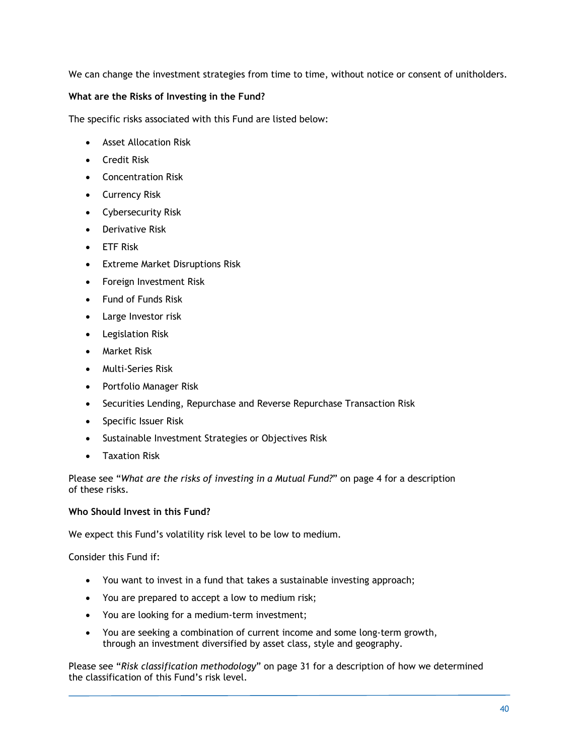We can change the investment strategies from time to time, without notice or consent of unitholders.

### **What are the Risks of Investing in the Fund?**

The specific risks associated with this Fund are listed below:

- Asset Allocation Risk
- Credit Risk
- Concentration Risk
- Currency Risk
- Cybersecurity Risk
- Derivative Risk
- ETF Risk
- **Extreme Market Disruptions Risk**
- Foreign Investment Risk
- Fund of Funds Risk
- Large Investor risk
- Legislation Risk
- Market Risk
- Multi-Series Risk
- Portfolio Manager Risk
- Securities Lending, Repurchase and Reverse Repurchase Transaction Risk
- Specific Issuer Risk
- Sustainable Investment Strategies or Objectives Risk
- Taxation Risk

Please see "*What are the risks of investing in a Mutual Fund?*" on page 4 for a description of these risks.

### **Who Should Invest in this Fund?**

We expect this Fund's volatility risk level to be low to medium.

Consider this Fund if:

- You want to invest in a fund that takes a sustainable investing approach;
- You are prepared to accept a low to medium risk;
- You are looking for a medium-term investment;
- You are seeking a combination of current income and some long-term growth, through an investment diversified by asset class, style and geography.

Please see "*Risk classification methodology*" on page 31 for a description of how we determined the classification of this Fund's risk level.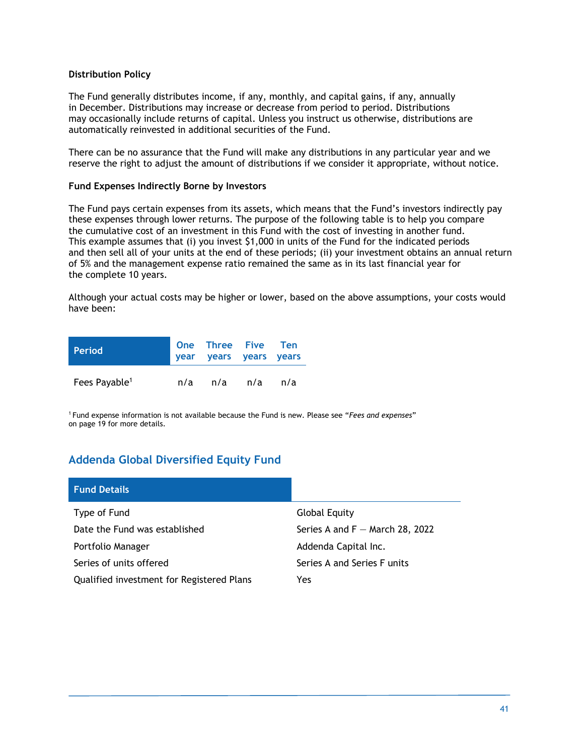### **Distribution Policy**

The Fund generally distributes income, if any, monthly, and capital gains, if any, annually in December. Distributions may increase or decrease from period to period. Distributions may occasionally include returns of capital. Unless you instruct us otherwise, distributions are automatically reinvested in additional securities of the Fund.

There can be no assurance that the Fund will make any distributions in any particular year and we reserve the right to adjust the amount of distributions if we consider it appropriate, without notice.

### **Fund Expenses Indirectly Borne by Investors**

The Fund pays certain expenses from its assets, which means that the Fund's investors indirectly pay these expenses through lower returns. The purpose of the following table is to help you compare the cumulative cost of an investment in this Fund with the cost of investing in another fund. This example assumes that (i) you invest \$1,000 in units of the Fund for the indicated periods and then sell all of your units at the end of these periods; (ii) your investment obtains an annual return of 5% and the management expense ratio remained the same as in its last financial year for the complete 10 years.

Although your actual costs may be higher or lower, based on the above assumptions, your costs would have been:

| <b>Period</b>             | One Three Five Ten<br>year years years years |     |
|---------------------------|----------------------------------------------|-----|
| Fees Payable <sup>1</sup> | n/a n/a n/a                                  | n/a |

1 Fund expense information is not available because the Fund is new. Please see "*Fees and expenses*" on page 19 for more details.

# **Addenda Global Diversified Equity Fund**

| <b>Fund Details</b>                       |                                   |
|-------------------------------------------|-----------------------------------|
| Type of Fund                              | Global Equity                     |
| Date the Fund was established             | Series A and $F -$ March 28, 2022 |
| Portfolio Manager                         | Addenda Capital Inc.              |
| Series of units offered                   | Series A and Series F units       |
| Qualified investment for Registered Plans | Yes                               |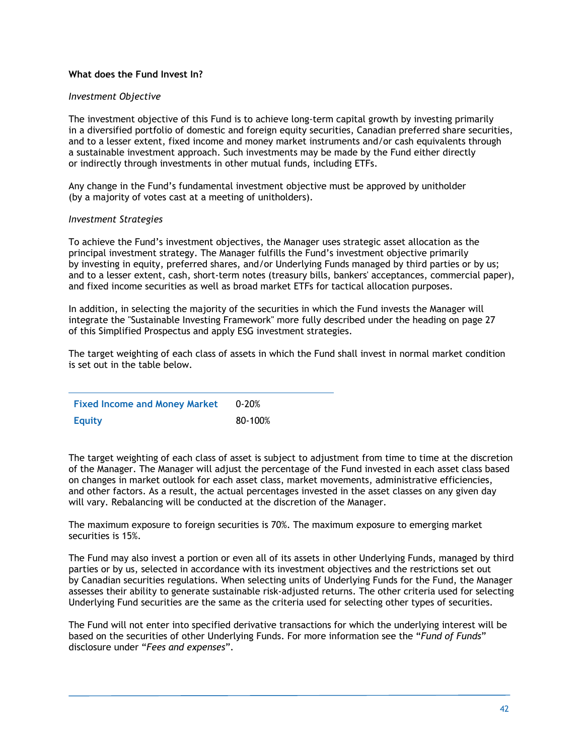### **What does the Fund Invest In?**

### *Investment Objective*

The investment objective of this Fund is to achieve long-term capital growth by investing primarily in a diversified portfolio of domestic and foreign equity securities, Canadian preferred share securities, and to a lesser extent, fixed income and money market instruments and/or cash equivalents through a sustainable investment approach. Such investments may be made by the Fund either directly or indirectly through investments in other mutual funds, including ETFs.

Any change in the Fund's fundamental investment objective must be approved by unitholder (by a majority of votes cast at a meeting of unitholders).

### *Investment Strategies*

To achieve the Fund's investment objectives, the Manager uses strategic asset allocation as the principal investment strategy. The Manager fulfills the Fund's investment objective primarily by investing in equity, preferred shares, and/or Underlying Funds managed by third parties or by us; and to a lesser extent, cash, short-term notes (treasury bills, bankers' acceptances, commercial paper), and fixed income securities as well as broad market ETFs for tactical allocation purposes.

In addition, in selecting the majority of the securities in which the Fund invests the Manager will integrate the "Sustainable Investing Framework" more fully described under the heading on page 27 of this Simplified Prospectus and apply ESG investment strategies.

The target weighting of each class of assets in which the Fund shall invest in normal market condition is set out in the table below.

| <b>Fixed Income and Money Market</b> | $0 - 20%$ |
|--------------------------------------|-----------|
| <b>Equity</b>                        | 80-100%   |

The target weighting of each class of asset is subject to adjustment from time to time at the discretion of the Manager. The Manager will adjust the percentage of the Fund invested in each asset class based on changes in market outlook for each asset class, market movements, administrative efficiencies, and other factors. As a result, the actual percentages invested in the asset classes on any given day will vary. Rebalancing will be conducted at the discretion of the Manager.

The maximum exposure to foreign securities is 70%. The maximum exposure to emerging market securities is 15%.

The Fund may also invest a portion or even all of its assets in other Underlying Funds, managed by third parties or by us, selected in accordance with its investment objectives and the restrictions set out by Canadian securities regulations. When selecting units of Underlying Funds for the Fund, the Manager assesses their ability to generate sustainable risk-adjusted returns. The other criteria used for selecting Underlying Fund securities are the same as the criteria used for selecting other types of securities.

The Fund will not enter into specified derivative transactions for which the underlying interest will be based on the securities of other Underlying Funds. For more information see the "*Fund of Funds*" disclosure under "*Fees and expenses*".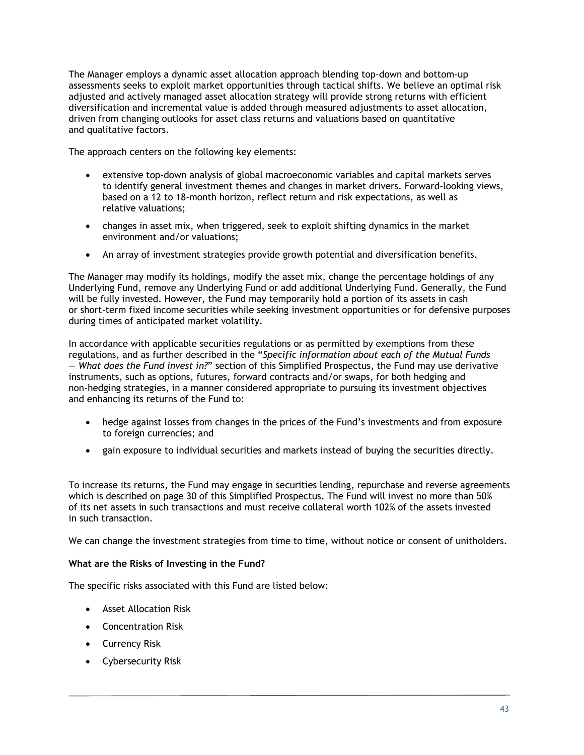The Manager employs a dynamic asset allocation approach blending top-down and bottom-up assessments seeks to exploit market opportunities through tactical shifts. We believe an optimal risk adjusted and actively managed asset allocation strategy will provide strong returns with efficient diversification and incremental value is added through measured adjustments to asset allocation, driven from changing outlooks for asset class returns and valuations based on quantitative and qualitative factors.

The approach centers on the following key elements:

- extensive top-down analysis of global macroeconomic variables and capital markets serves to identify general investment themes and changes in market drivers. Forward-looking views, based on a 12 to 18-month horizon, reflect return and risk expectations, as well as relative valuations;
- changes in asset mix, when triggered, seek to exploit shifting dynamics in the market environment and/or valuations;
- An array of investment strategies provide growth potential and diversification benefits.

The Manager may modify its holdings, modify the asset mix, change the percentage holdings of any Underlying Fund, remove any Underlying Fund or add additional Underlying Fund. Generally, the Fund will be fully invested. However, the Fund may temporarily hold a portion of its assets in cash or short-term fixed income securities while seeking investment opportunities or for defensive purposes during times of anticipated market volatility.

In accordance with applicable securities regulations or as permitted by exemptions from these regulations, and as further described in the "*Specific information about each of the Mutual Funds — What does the Fund invest in?*" section of this Simplified Prospectus, the Fund may use derivative instruments, such as options, futures, forward contracts and/or swaps, for both hedging and non-hedging strategies, in a manner considered appropriate to pursuing its investment objectives and enhancing its returns of the Fund to:

- hedge against losses from changes in the prices of the Fund's investments and from exposure to foreign currencies; and
- gain exposure to individual securities and markets instead of buying the securities directly.

To increase its returns, the Fund may engage in securities lending, repurchase and reverse agreements which is described on page 30 of this Simplified Prospectus. The Fund will invest no more than 50% of its net assets in such transactions and must receive collateral worth 102% of the assets invested in such transaction.

We can change the investment strategies from time to time, without notice or consent of unitholders.

### **What are the Risks of Investing in the Fund?**

The specific risks associated with this Fund are listed below:

- Asset Allocation Risk
- Concentration Risk
- Currency Risk
- Cybersecurity Risk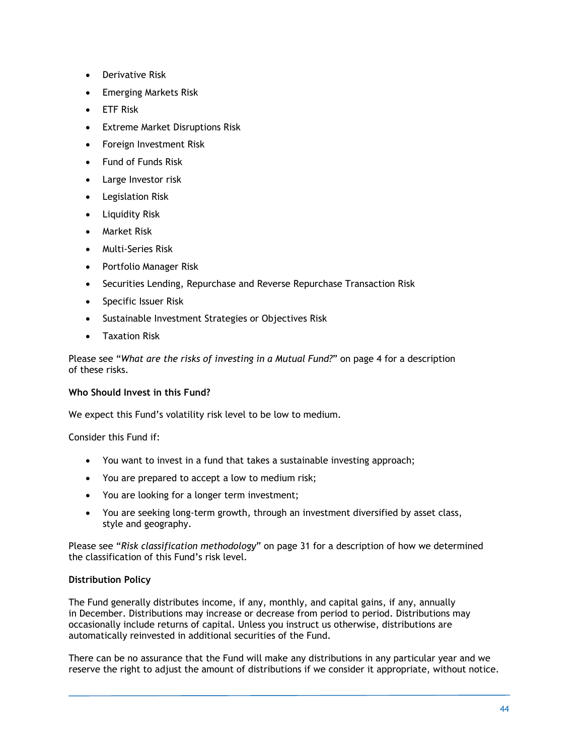- Derivative Risk
- Emerging Markets Risk
- ETF Risk
- **Extreme Market Disruptions Risk**
- Foreign Investment Risk
- Fund of Funds Risk
- Large Investor risk
- Legislation Risk
- Liquidity Risk
- Market Risk
- Multi-Series Risk
- Portfolio Manager Risk
- Securities Lending, Repurchase and Reverse Repurchase Transaction Risk
- Specific Issuer Risk
- Sustainable Investment Strategies or Objectives Risk
- Taxation Risk

Please see "*What are the risks of investing in a Mutual Fund?*" on page 4 for a description of these risks.

### **Who Should Invest in this Fund?**

We expect this Fund's volatility risk level to be low to medium.

### Consider this Fund if:

- You want to invest in a fund that takes a sustainable investing approach;
- You are prepared to accept a low to medium risk;
- You are looking for a longer term investment;
- You are seeking long-term growth, through an investment diversified by asset class, style and geography.

Please see "*Risk classification methodology*" on page 31 for a description of how we determined the classification of this Fund's risk level.

### **Distribution Policy**

The Fund generally distributes income, if any, monthly, and capital gains, if any, annually in December. Distributions may increase or decrease from period to period. Distributions may occasionally include returns of capital. Unless you instruct us otherwise, distributions are automatically reinvested in additional securities of the Fund.

There can be no assurance that the Fund will make any distributions in any particular year and we reserve the right to adjust the amount of distributions if we consider it appropriate, without notice.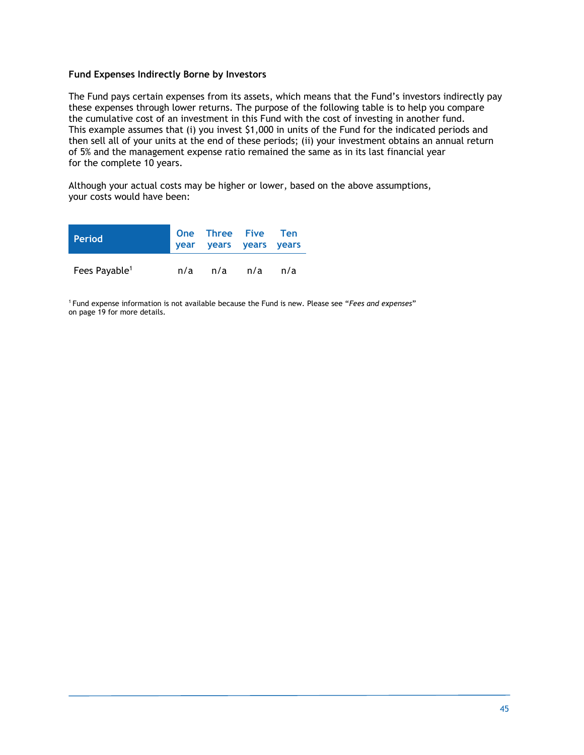### **Fund Expenses Indirectly Borne by Investors**

The Fund pays certain expenses from its assets, which means that the Fund's investors indirectly pay these expenses through lower returns. The purpose of the following table is to help you compare the cumulative cost of an investment in this Fund with the cost of investing in another fund. This example assumes that (i) you invest \$1,000 in units of the Fund for the indicated periods and then sell all of your units at the end of these periods; (ii) your investment obtains an annual return of 5% and the management expense ratio remained the same as in its last financial year for the complete 10 years.

Although your actual costs may be higher or lower, based on the above assumptions, your costs would have been:

| <b>Period</b>             |     | One Three Five Ten<br>year years years years |     |     |
|---------------------------|-----|----------------------------------------------|-----|-----|
| Fees Payable <sup>1</sup> | n/a | n/a                                          | n/a | n/a |

1 Fund expense information is not available because the Fund is new. Please see "*Fees and expenses*" on page 19 for more details.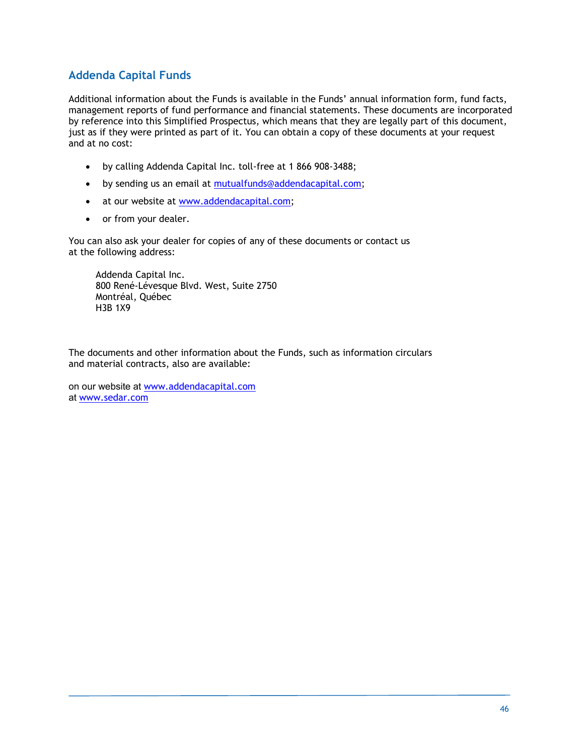### **Addenda Capital Funds**

Additional information about the Funds is available in the Funds' annual information form, fund facts, management reports of fund performance and financial statements. These documents are incorporated by reference into this Simplified Prospectus, which means that they are legally part of this document, just as if they were printed as part of it. You can obtain a copy of these documents at your request and at no cost:

- by calling Addenda Capital Inc. toll-free at 1 866 908-3488;
- by sending us an email at mutualfunds@addendacapital.com;
- at our website at www.addendacapital.com;
- or from your dealer.

You can also ask your dealer for copies of any of these documents or contact us at the following address:

Addenda Capital Inc. 800 René-Lévesque Blvd. West, Suite 2750 Montréal, Québec H3B 1X9

The documents and other information about the Funds, such as information circulars and material contracts, also are available:

on our website at www.addendacapital.com at www.sedar.com